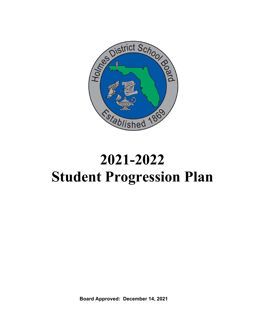

# **2021-2022 Student Progression Plan**

**Board Approved: December 14, 2021**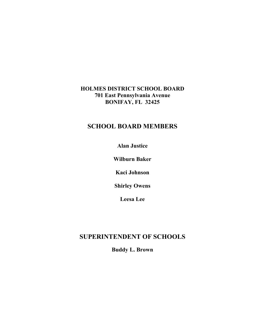## **HOLMES DISTRICT SCHOOL BOARD 701 East Pennsylvania Avenue BONIFAY, FL 32425**

# **SCHOOL BOARD MEMBERS**

**Alan Justice**

**Wilburn Baker**

**Kaci Johnson**

**Shirley Owens**

**Leesa Lee**

# **SUPERINTENDENT OF SCHOOLS**

**Buddy L. Brown**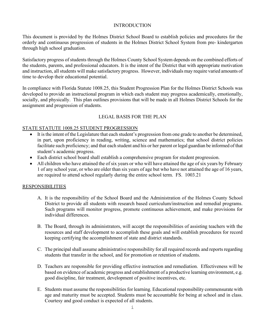#### INTRODUCTION

This document is provided by the Holmes District School Board to establish policies and procedures for the orderly and continuous progression of students in the Holmes District School System from pre- kindergarten through high school graduation.

Satisfactory progress of students through the Holmes County School System depends on the combined efforts of the students, parents, and professional educators. It is the intent of the District that with appropriate motivation and instruction, all students will make satisfactory progress. However, individuals may require varied amounts of time to develop their educational potential.

In compliance with Florida Statute 1008.25, this Student Progression Plan for the Holmes District Schools was developed to provide an instructional program in which each student may progress academically, emotionally, socially, and physically. This plan outlines provisions that will be made in all Holmes District Schools for the assignment and progression of students.

## LEGAL BASIS FOR THE PLAN

#### STATE STATUTE 1008.25 STUDENT PROGRESSION

- It is the intent of the Legislature that each student's progression from one grade to another be determined, in part, upon proficiency in reading, writing, science and mathematics; that school district policies facilitate such proficiency; and that each student and his or her parent or legal guardian be informed of that student's academic progress.
- Each district school board shall establish a comprehensive program for student progression.
- All children who have attained the of six years or who will have attained the age of six years by February 1 of any school year, or who are older than six years of age but who have not attained the age of 16 years, are required to attend school regularly during the entire school term. FS. 1003.21

#### RESPONSIBILITIES

- A. It is the responsibility of the School Board and the Administration of the Holmes County School District to provide all students with research based curriculum/instruction and remedial programs. Such programs will monitor progress, promote continuous achievement, and make provisions for individual differences.
- B. The Board, through its administrators, will accept the responsibilities of assisting teachers with the resources and staff development to accomplish these goals and will establish procedures for record keeping certifying the accomplishment of state and district standards.
- C. The principal shall assume administrative responsibility for all required records and reports regarding students that transfer in the school, and for promotion or retention of students.
- D. Teachers are responsible for providing effective instruction and remediation. Effectiveness will be based on evidence of academic progress and establishment of a productive learning environment, e.g. good discipline, fair treatment, development of positive incentives, etc.
- E. Students must assume the responsibilities for learning. Educational responsibility commensurate with age and maturity must be accepted. Students must be accountable for being at school and in class. Courtesy and good conduct is expected of all students.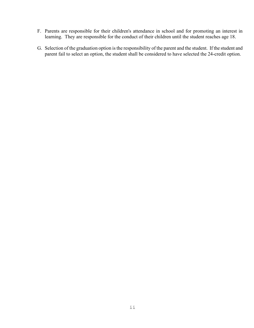- F. Parents are responsible for their children's attendance in school and for promoting an interest in learning. They are responsible for the conduct of their children until the student reaches age 18.
- G. Selection of the graduation option is the responsibility of the parent and the student. If the student and parent fail to select an option, the student shall be considered to have selected the 24-credit option.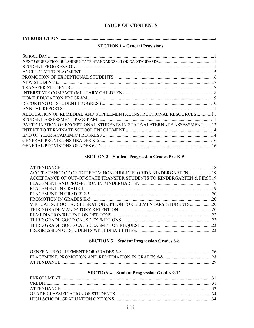## **TABLE OF CONTENTS**

|--|

## **SECTION 1 - General Provisions**

| ALLOCATION OF REMEDIAL AND SUPPLEMENTAL INSTRUCTIONAL RESOURCES11      |  |
|------------------------------------------------------------------------|--|
|                                                                        |  |
| PARTICIAPTION OF EXCEPTIONAL STUDENTS IN STATE/ALETERNATE ASSESSMENT12 |  |
|                                                                        |  |
|                                                                        |  |
|                                                                        |  |
|                                                                        |  |
|                                                                        |  |

## **SECTION 2 - Student Progression Grades Pre-K-5**

| ACCEPATANCE OF CREDIT FROM NON-PUBLIC FLORIDA KINDERGARTEN19            |  |
|-------------------------------------------------------------------------|--|
| ACCEPTANCE OF OUT-OF-STATE TRANSFER STUDENTS TO KINDERGARTEN & FIRST 19 |  |
|                                                                         |  |
|                                                                         |  |
|                                                                         |  |
|                                                                         |  |
|                                                                         |  |
|                                                                         |  |
|                                                                         |  |
|                                                                         |  |
|                                                                         |  |
|                                                                         |  |

## **SECTION 3 - Student Progression Grades 6-8**

#### **SECTION 4 - Student Progression Grades 9-12**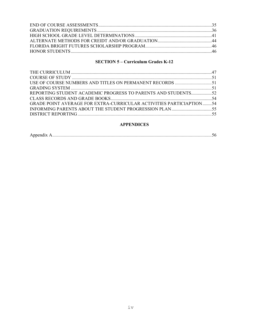## **SECTION 5 - Curriculum Grades K-12**

| REPORTING STUDENT ACADEMIC PROGRESS TO PARENTS AND STUDENTS52              |  |
|----------------------------------------------------------------------------|--|
|                                                                            |  |
| <b>GRADE POINT AVERAGE FOR EXTRA-CURRICULAR ACTIVITIES PARTICIAPTION54</b> |  |
|                                                                            |  |
|                                                                            |  |

## **APPENDICES**

|--|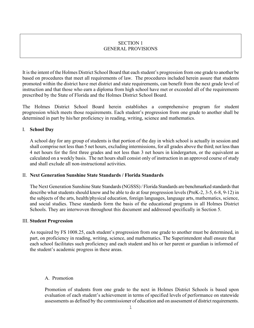#### SECTION 1 GENERAL PROVISIONS

It is the intent of the Holmes District School Board that each student's progression from one grade to another be based on procedures that meet all requirements of law. The procedures included herein assure that students promoted within the district have met district and state requirements, can benefit from the next grade level of instruction and that those who earn a diploma from high school have met or exceeded all of the requirements prescribed by the State of Florida and the Holmes District School Board.

The Holmes District School Board herein establishes a comprehensive program for student progression which meets those requirements. Each student's progression from one grade to another shall be determined in part by his/her proficiency in reading, writing, science and mathematics.

#### I. **School Day**

A school day for any group of students is that portion of the day in which school is actually in session and shall comprise not less than 5 net hours, excluding intermissions, for all grades above the third; not less than 4 net hours for the first three grades and not less than 3 net hours in kindergarten, or the equivalent as calculated on a weekly basis. The net hours shall consist only of instruction in an approved course of study and shall exclude all non-instructional activities.

#### II. **Next Generation Sunshine State Standards / Florida Standards**

The Next Generation Sunshine State Standards (NGSSS) / Florida Standards are benchmarked standards that describe what students should know and be able to do at four progression levels (PreK-2, 3-5, 6-8, 9-12) in the subjects of the arts, health/physical education, foreign languages, language arts, mathematics, science, and social studies. These standards form the basis of the educational programs in all Holmes District Schools. They are interwoven throughout this document and addressed specifically in Section 5.

#### III. **Student Progression**

As required by FS 1008.25, each student's progression from one grade to another must be determined, in part, on proficiency in reading, writing, science, and mathematics. The Superintendent shall ensure that each school facilitates such proficiency and each student and his or her parent or guardian is informed of the student's academic progress in these areas.

## A. Promotion

Promotion of students from one grade to the next in Holmes District Schools is based upon evaluation of each student's achievement in terms of specified levels of performance on statewide assessments as defined by the commissioner of education and on assessment of district requirements.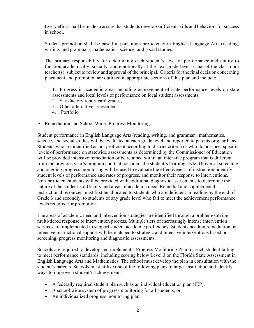Every effort shall be made to assure that students develop sufficient skills and behaviors for success in school.

Student promotion shall be based in part, upon proficiency in English Language Arts (reading, writing, and grammar), mathematics, science, and social studies.

The primary responsibility for determining each student's level of performance and ability to function academically, socially, and emotionally at the next grade level is that of the classroom teacher(s), subject to review and approval of the principal. Criteria for the final decision concerning placement and promotion are outlined in appropriate sections of this plan and include:

1. Progress in academic areas including achievement of state performance levels on state assessments and local levels of performance on local student assessments,

- 2. Satisfactory report card grades,
- 3. Other alternative assessment.
- 4. Portfolio

## B. Remediation and School Wide- Progress Monitoring

Student performance in English Language Arts (reading, writing, and grammar), mathematics, science, and social studies will be evaluated at each grade level and reported to parents or guardians. Students who are identified as not proficient according to district criteria or who do not meet specific levels of performance on statewide assessments as determined by the Commissioner of Education will be provided intensive remediation or be retained within an intensive program that is different from the previous year's program and that considers the student's learning style. Universal screening and ongoing progress monitoring will be used to evaluate the effectiveness of instruction, identify student levels of performance and rates of progress, and monitor their response to interventions. Non‐proficient students will be provided with additional diagnostic assessments to determine the nature of the student's difficulty and areas of academic need. Remedial and supplemental instructional resources must first be allocated to students who are deficient in reading by the end of Grade 3 and secondly, to students of any grade level who fail to meet the achievement performance levels required for promotion.

The areas of academic need and intervention strategies are identified through a problem‐solving, multi-tiered response to intervention process. Multiple tiers of increasingly intense intervention services are implemented to support student academic proficiency. Students needing remediation or intensive instructional support will be matched to strategic and intensive interventions based on screening, progress monitoring and diagnostic assessments.

Schools are required to develop and implement a Progress Monitoring Plan for each student failing to meet performance standards, including scoring below Level 3 on the Florida State Assessment in English Language Arts and Mathematics. The school must develop the plan in consultation with the student's parents. Schools must utilize one of the following plans to target instruction and identify ways to improve a student's achievement:

- A federally required student plan such as an individual education plan (IEP).
- A school wide system of progress monitoring for all students; or
- An individualized progress monitoring plan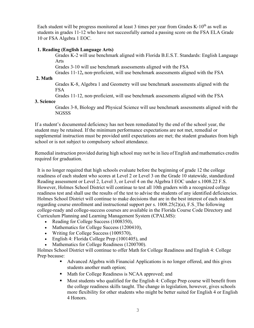Each student will be progress monitored at least 3 times per year from Grades K-10<sup>th</sup> as well as students in grades 11‐12 who have not successfully earned a passing score on the FSA ELA Grade 10 or FSA Algebra 1 EOC.

#### **1. Reading (English Language Arts)**

Grades K-2 will use benchmark aligned with Florida B.E.S.T. Standards: English Language Arts

Grades 3-10 will use benchmark assessments aligned with the FSA

Grades 11‐12**,** non‐proficient, will use benchmark assessments aligned with the FSA

#### **2. Math**

Grades K‐8, Algebra 1 and Geometry will use benchmark assessments aligned with the FSA

Grades 11‐12, non‐proficient, will use benchmark assessments aligned with the FSA

#### **3. Science**

Grades 3‐8, Biology and Physical Science will use benchmark assessments aligned with the NGSSS

If a student's documented deficiency has not been remediated by the end of the school year, the student may be retained. If the minimum performance expectations are not met, remedial or supplemental instruction must be provided until expectations are met; the student graduates from high school or is not subject to compulsory school attendance.

 Remedial instruction provided during high school may not be in lieu of English and mathematics credits required for graduation.

It is no longer required that high schools evaluate before the beginning of grade 12 the college readiness of each student who scores at Level 2 or Level 3 on the Grade 10 statewide, standardized Reading assessment or Level 2, Level 3, or Level 4 on the Algebra I EOC under s.1008.22 F.S. However, Holmes School District will continue to test all 10th graders with a recognized college readiness test and shall use the results of the test to advise the students of any identified deficiencies. Holmes School District will continue to make decisions that are in the best interest of each student regarding course enrollment and instructional support per s.  $1008.25(2)(a)$ , F.S. The following college-ready and college-success courses are available in the Florida Course Code Directory and Curriculum Planning and Learning Management System (CPALMS):

- Reading for College Success (1008350),
- Mathematics for College Success (1200410),
- Writing for College Success (1009370),
- English 4: Florida College Prep (1001405), and
- Mathematics for College Readiness (1200700).

Holmes School District will continue to offer Math for College Readiness and English 4: College Prep because:

- Advanced Algebra with Financial Applications is no longer offered, and this gives students another math option;
- Math for College Readiness is NCAA approved; and
- Most students who qualified for the English 4: College Prep course will benefit from the college readiness skills taught. The change in legislation, however, gives schools more flexibility for other students who might be better suited for English 4 or English 4 Honors.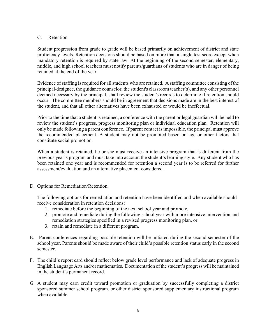#### C. Retention

Student progression from grade to grade will be based primarily on achievement of district and state proficiency levels. Retention decisions should be based on more than a single test score except when mandatory retention is required by state law. At the beginning of the second semester, elementary, middle, and high school teachers must notify parents/guardians of students who are in danger of being retained at the end of the year.

Evidence of staffing is required for all students who are retained. A staffing committee consisting of the principal/designee, the guidance counselor, the student's classroom teacher(s), and any other personnel deemed necessary by the principal, shall review the student's records to determine if retention should occur. The committee members should be in agreement that decisions made are in the best interest of the student, and that all other alternatives have been exhausted or would be ineffectual.

Prior to the time that a student is retained, a conference with the parent or legal guardian will be held to review the student's progress, progress monitoring plan or individual education plan. Retention will only be made following a parent conference. If parent contact is impossible, the principal must approve the recommended placement. A student may not be promoted based on age or other factors that constitute social promotion.

When a student is retained, he or she must receive an intensive program that is different from the previous year's program and must take into account the student's learning style. Any student who has been retained one year and is recommended for retention a second year is to be referred for further assessment/evaluation and an alternative placement considered.

## D. Options for Remediation/Retention

The following options for remediation and retention have been identified and when available should receive consideration in retention decisions:

- 1. remediate before the beginning of the next school year and promote,
- 2. promote and remediate during the following school year with more intensive intervention and remediation strategies specified in a revised progress monitoring plan, or
- 3. retain and remediate in a different program.
- E. Parent conferences regarding possible retention will be initiated during the second semester of the school year. Parents should be made aware of their child's possible retention status early in the second semester.
- F. The child's report card should reflect below grade level performance and lack of adequate progress in English Language Arts and/or mathematics. Documentation of the student's progress will be maintained in the student's permanent record.
- G. A student may earn credit toward promotion or graduation by successfully completing a district sponsored summer school program, or other district sponsored supplementary instructional program when available.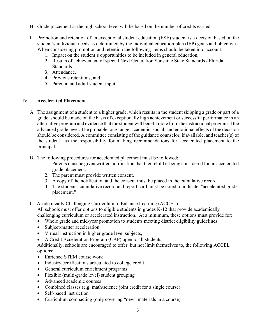- H. Grade placement at the high school level will be based on the number of credits earned.
- I. Promotion and retention of an exceptional student education (ESE) student is a decision based on the student's individual needs as determined by the individual education plan (IEP) goals and objectives. When considering promotion and retention the following items should be taken into account:
	- 1. Impact on the student's opportunities to be included in general education,
	- 2. Results of achievement of special Next Generation Sunshine State Standards / Florida Standards
	- 3. Attendance,
	- 4. Previous retentions, and
	- 5. Parental and adult student input.

#### IV. **Accelerated Placement**

- A. The assignment of a student to a higher grade, which results in the student skipping a grade or part of a grade, should be made on the basis of exceptionally high achievement or successful performance in an alternative program and evidence that the student will benefit more from the instructional program at the advanced grade level. The probable long range, academic, social, and emotional effects of the decision should be considered. A committee consisting of the guidance counselor, if available, and teacher(s) of the student has the responsibility for making recommendations for accelerated placement to the principal.
- B. The following procedures for accelerated placement must be followed:
	- 1. Parents must be given written notification that their child is being considered for an accelerated grade placement.
	- 2. The parent must provide written consent.
	- 3. A copy of the notification and the consent must be placed in the cumulative record.
	- 4. The student's cumulative record and report card must be noted to indicate, "accelerated grade placement."
- C. Academically Challenging Curriculum to Enhance Learning (ACCEL)

All schools must offer options to eligible students in grades K-12 that provide academically challenging curriculum or accelerated instruction. At a minimum, these options must provide for:

- Whole grade and mid-year promotion to students meeting district eligibility guidelines
- Subject-matter acceleration,
- Virtual instruction in higher grade level subjects,
- A Credit Acceleration Program (CAP) open to all students.

Additionally, schools are encouraged to offer, but not limit themselves to, the following ACCEL options:

- Enriched STEM course work
- Industry certifications articulated to college credit
- General curriculum enrichment programs
- Flexible (multi-grade level) student grouping
- Advanced academic courses
- Combined classes (e.g. math/science joint credit for a single course)
- Self-paced instruction
- Curriculum compacting (only covering "new" materials in a course)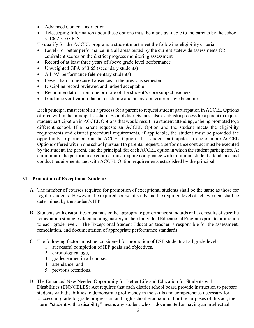- Advanced Content Instruction
- Telescoping Information about these options must be made available to the parents by the school s. 1002.3105.F. S.

To qualify for the ACCEL program, a student must meet the following eligibility criteria:

- Level 4 or better performance in a all areas tested by the current statewide assessments OR equivalent scores on the district progress monitoring assessment
- Record of at least three years of above grade level performance
- Unweighted GPA of 3.65 (secondary students)
- All "A" performance (elementary students)
- Fewer than 5 unexcused absences in the previous semester
- Discipline record reviewed and judged acceptable
- Recommendation from one or more of the student's core subject teachers
- Guidance verification that all academic and behavioral criteria have been met

Each principal must establish a process for a parent to request student participation in ACCEL Options offered within the principal's school. School districts must also establish a process for a parent to request student participation in ACCEL Options that would result in a student attending, or being promoted to, a different school. If a parent requests an ACCEL Option and the student meets the eligibility requirements and district procedural requirements, if applicable, the student must be provided the opportunity to participate in the ACCEL Option. If a student participates in one or more ACCEL Options offered within one school pursuant to parental request, a performance contract must be executed by the student, the parent, and the principal, for each ACCEL option in which the student participates. At a minimum, the performance contract must require compliance with minimum student attendance and conduct requirements and with ACCEL Option requirements established by the principal.

## VI. **Promotion of Exceptional Students**

- A. The number of courses required for promotion of exceptional students shall be the same as those for regular students. However, the required course of study and the required level of achievement shall be determined by the student's IEP.
- B. Students with disabilities must master the appropriate performance standards or have results of specific remediation strategies documenting mastery in their Individual Educational Programs prior to promotion to each grade level. The Exceptional Student Education teacher is responsible for the assessment, remediation, and documentation of appropriate performance standards.
- C. The following factors must be considered for promotion of ESE students at all grade levels:
	- 1. successful completion of IEP goals and objectives,
	- 2. chronological age,
	- 3. grades earned in all courses,
	- 4. attendance, and
	- 5. previous retentions.
- D. The Enhanced New Needed Opportunity for Better Life and Education for Students with Disabilities (ENNOBLES) Act requires that each district school board provide instruction to prepare students with disabilities to demonstrate proficiency in the skills and competencies necessary for successful grade-to-grade progression and high school graduation. For the purposes of this act, the term "student with a disability" means any student who is documented as having an intellectual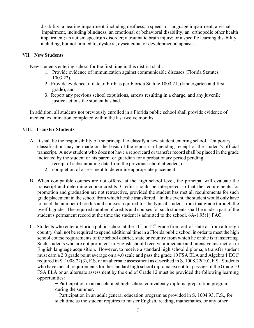disability; a hearing impairment, including deafness; a speech or language impairment; a visual impairment, including blindness; an emotional or behavioral disability; an orthopedic other health impairment; an autism spectrum disorder; a traumatic brain injury; or a specific learning disability, including, but not limited to, dyslexia, dyscalculia, or developmental aphasia.

#### VII. **New Students**

New students entering school for the first time in this district shall:

- 1. Provide evidence of immunization against communicable diseases (Florida Statutes 1003.22),
- 2. Provide evidence of date of birth as per Florida Statute 1003.21, (kindergarten and first grade), and
- 3. Report any previous school expulsions, arrests resulting in a charge, and any juvenile justice actions the student has had.

In addition, all students not previously enrolled in a Florida public school shall provide evidence of medical examination completed within the last twelve months.

## VIII. **Transfer Students**

- A. It shall be the responsibility of the principal to classify a new student entering school. Temporary classification may be made on the basis of the report card pending receipt of the student's official transcript. A new student who does not have a report card or transfer record shall be placed in the grade indicated by the student or his parent or guardian for a probationary period pending;
	- 1. receipt of substantiating data from the previous school attended, or
	- 2. completion of assessment to determine appropriate placement.
- B. When compatible courses are not offered at the high school level, the principal will evaluate the transcript and determine course credits. Credits should be interpreted so that the requirements for promotion and graduation are not retroactive, provided the student has met all requirements for such grade placement in the school from which he/she transferred. In this event, the student would only have to meet the number of credits and courses required for the typical student from that grade through the twelfth grade. The required number of credits and courses for such students shall be made a part of the student's permanent record at the time the student is admitted to the school. 6A-1.95(1) FAC.
- C. Students who enter a Florida public school at the  $11<sup>th</sup>$  or  $12<sup>th</sup>$  grade from out-of-state or from a foreign country shall not be required to spend additional time in a Florida public school in order to meet the high school course requirements of the school district, state or country from which he or she is transferring. Such students who are not proficient in English should receive immediate and intensive instruction in English language acquisition. However, to receive a standard high school diploma, a transfer student must earn a 2.0 grade point average on a 4.0 scale and pass the grade 10 FSA ELA and Algebra 1 EOC required in S. 1008.22(3), F.S. or an alternate assessment as described in S. 1008.22(10), F.S. Students who have met all requirements for the standard high school diploma except for passage of the Grade 10 FSA ELA or an alternate assessment by the end of Grade 12 must be provided the following learning opportunities:

− Participation in an accelerated high school equivalency diploma preparation program during the summer.

− Participation in an adult general education program as provided in S. 1004.93, F.S., for such time as the student requires to master English, reading, mathematics, or any other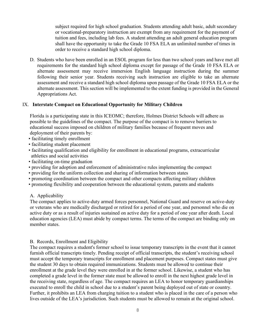subject required for high school graduation. Students attending adult basic, adult secondary or vocational-preparatory instruction are exempt from any requirement for the payment of tuition and fees, including lab fees. A student attending an adult general education program shall have the opportunity to take the Grade 10 FSA ELA an unlimited number of times in order to receive a standard high school diploma.

D. Students who have been enrolled in an ESOL program for less than two school years and have met all requirements for the standard high school diploma except for passage of the Grade 10 FSA ELA or alternate assessment may receive immersion English language instruction during the summer following their senior year. Students receiving such instruction are eligible to take an alternate assessment and receive a standard high school diploma upon passage of the Grade 10 FSA ELA or the alternate assessment. This section will be implemented to the extent funding is provided in the General Appropriations Act.

#### IX. **Interstate Compact on Educational Opportunity for Military Children**

 Florida is a participating state in this ICEOMC; therefore, Holmes District Schools will adhere as possible to the guidelines of the compact. The purpose of the compact is to remove barriers to educational success imposed on children of military families because of frequent moves and deployment of their parents by:

- facilitating timely enrollment
- facilitating student placement
- facilitating qualification and eligibility for enrollment in educational programs, extracurricular athletics and social activities
- facilitating on-time graduation
- providing for adoption and enforcement of administrative rules implementing the compact
- providing for the uniform collection and sharing of information between states
- promoting coordination between the compact and other compacts affecting military children
- promoting flexibility and cooperation between the educational system, parents and students

## A. Applicability

 The compact applies to active-duty armed forces personnel, National Guard and reserve on active-duty or veterans who are medically discharged or retired for a period of one year, and personnel who die on active duty or as a result of injuries sustained on active duty for a period of one year after death. Local education agencies (LEA) must abide by compact terms. The terms of the compact are binding only on member states.

#### B. Records, Enrollment and Eligibility

 The compact requires a student's former school to issue temporary transcripts in the event that it cannot furnish official transcripts timely. Pending receipt of official transcripts, the student's receiving school must accept the temporary transcripts for enrollment and placement purposes. Compact states must give the student 30 days to obtain required immunizations. Students must be allowed to continue their enrollment at the grade level they were enrolled in at the former school. Likewise, a student who has completed a grade level in the former state must be allowed to enroll in the next highest grade level in the receiving state, regardless of age. The compact requires an LEA to honor temporary guardianships executed to enroll the child in school due to a student's parent being deployed out of state or country. Further, it prohibits an LEA from charging tuition to a student who is placed in the care of a person who lives outside of the LEA's jurisdiction. Such students must be allowed to remain at the original school.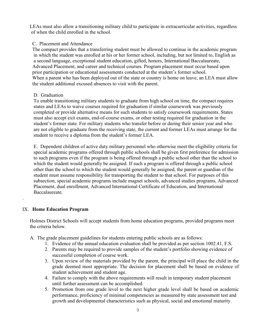LEAs must also allow a transitioning military child to participate in extracurricular activities, regardless of when the child enrolled in the school.

#### C. Placement and Attendance

 The compact provides that a transferring student must be allowed to continue in the academic program in which the student was enrolled at his or her former school, including, but not limited to, English as a second language, exceptional student education, gifted, honors, International Baccalaureate, Advanced Placement, and career and technical courses. Program placement must occur based upon prior participation or educational assessments conducted at the student's former school. When a parent who has been deployed out of the state or country is home on leave, an LEA must allow the student additional excused absences to visit with the parent.

#### D. Graduation

To enable transitioning military students to graduate from high school on time, the compact requires states and LEAs to waive courses required for graduation if similar coursework was previously completed or provide alternative means for such students to satisfy coursework requirements. States must also accept exit exams, end-of-course exams, or other testing required for graduation in the student's former state. For military students who transfer before or during their senior year and who are not eligible to graduate from the receiving state, the current and former LEAs must arrange for the student to receive a diploma from the student's former LEA.

E. Dependent children of active duty military personnel who otherwise meet the eligibility criteria for special academic programs offered through public schools shall be given first preference for admission to such programs even if the program is being offered through a public school other than the school to which the student would generally be assigned. If such a program is offered through a public school other than the school to which the student would generally be assigned, the parent or guardian of the student must assume responsibility for transporting the student to that school. For purposes of this subsection, special academic programs include magnet schools, advanced studies programs, Advanced Placement, dual enrollment, Advanced International Certificate of Education, and International Baccalaureate.

## IX. **Home Education Program**

.

Holmes District Schools will accept students from home education programs, provided programs meet the criteria below.

- A. The grade placement guidelines for students entering public schools are as follows:
	- 1. Evidence of the annual education evaluation shall be provided as per section 1002.41, F.S.
	- 2. Parents may be required to provide samples of the student's portfolio showing evidence of successful completion of course work.
	- 3. Upon review of the materials provided by the parent, the principal will place the child in the grade deemed most appropriate. The decision for placement shall be based on evidence of student achievement and student age.
	- 4. Failure to comply with the above requirements will result in temporary student placement until further assessment can be accomplished.
	- 5. Promotion from one grade level to the next higher grade level shall be based on academic performance, proficiency of minimal competencies as measured by state assessment test and growth and developmental characteristics such as physical, social and emotional maturity.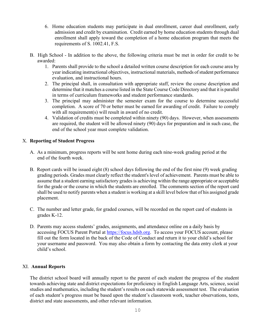- 6. Home education students may participate in dual enrollment, career dual enrollment, early admission and credit by examination. Credit earned by home education students through dual enrollment shall apply toward the completion of a home education program that meets the requirements of S. 1002.41, F.S.
- B. High School In addition to the above, the following criteria must be met in order for credit to be awarded:
	- 1. Parents shall provide to the school a detailed written course description for each course area by year indicating instructional objectives, instructional materials, methods of student performance evaluation, and instructional hours.
	- 2. The principal shall, in consultation with appropriate staff, review the course description and determine that it matches a course listed in the State Course Code Directory and that it is parallel in terms of curriculum frameworks and student performance standards.
	- 3. The principal may administer the semester exam for the course to determine successful completion. A score of 70 or better must be earned for awarding of credit. Failure to comply with all requirement(s) will result in award of no credit.
	- 4. Validation of credits must be completed within ninety (90) days. However, when assessments are required, the student will be allowed ninety (90) days for preparation and in such case, the end of the school year must complete validation.

## X. **Reporting of Student Progress**

- A. As a minimum, progress reports will be sent home during each nine-week grading period at the end of the fourth week.
- B. Report cards will be issued eight (8) school days following the end of the first nine (9) week grading grading periods. Grades must clearly reflect the student's level of achievement. Parents must be able to assume that a student earning satisfactory grades is achieving within the range appropriate or acceptable for the grade or the course in which the students are enrolled. The comments section of the report card shall be used to notify parents when a student is working at a skill level below that of his assigned grade placement.
- C. The number and letter grade, for graded courses, will be recorded on the report card of students in grades K-12.
- D. Parents may access students' grades, assignments, and attendance online on a daily basis by accessing FOCUS Parent Portal at [https://focus.hdsb.org.](https://focus.hdsb.org/) To access your FOCUS account, please fill out the form located in the back of the Code of Conduct and return it to your child's school for your username and password. You may also obtain a form by contacting the data entry clerk at your child's school.

## XI. **Annual Reports**

The district school board will annually report to the parent of each student the progress of the student towards achieving state and district expectations for proficiency in English Language Arts, science, social studies and mathematics, including the student's results on each statewide assessment test. The evaluation of each student's progress must be based upon the student's classroom work, teacher observations, tests, district and state assessments, and other relevant information.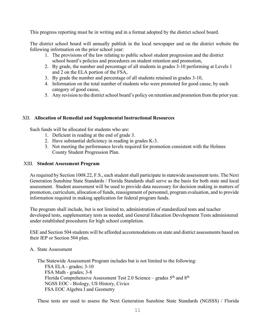This progress reporting must be in writing and in a format adopted by the district school board.

The district school board will annually publish in the local newspaper and on the district website the following information on the prior school year:

- 1. The provisions of the law relating to public school student progression and the district school board's policies and procedures on student retention and promotion,
- 2. By grade, the number and percentage of all students in grades 3-10 performing at Levels 1 and 2 on the ELA portion of the FSA,
- 3. By grade the number and percentage of all students retained in grades 3-10,
- 4. Information on the total number of students who were promoted for good cause, by each category of good cause,
- 5. Any revision to the district school board's policy on retention and promotion from the prior year.

## XII. **Allocation of Remedial and Supplemental Instructional Resources**

Such funds will be allocated for students who are:

- 1. Deficient in reading at the end of grade 3.
- 2. Have substantial deficiency in reading in grades K-3.
- 3. Not meeting the performance levels required for promotion consistent with the Holmes County Student Progression Plan.

#### XIII. **Student Assessment Program**

As required by Section 1008.22, F.S., each student shall participate in statewide assessment tests. The Next Generation Sunshine State Standards / Florida Standards shall serve as the basis for both state and local assessment. Student assessment will be used to provide data necessary for decision making in matters of promotion, curriculum, allocation of funds, reassignment of personnel, program evaluation, and to provide information required in making application for federal program funds.

The program shall include, but is not limited to, administration of standardized tests and teacher developed tests, supplementary tests as needed, and General Education Development Tests administered under established procedures for high school completion.

ESE and Section 504 students will be afforded accommodations on state and district assessments based on their IEP or Section 504 plan.

#### A. State Assessment

The Statewide Assessment Program includes but is not limited to the following: FSA ELA - grades; 3-10 FSA Math - grades; 3-8 Florida Comprehensive Assessment Test 2.0 Science – grades  $5<sup>th</sup>$  and  $8<sup>th</sup>$ NGSS EOC - Biology, US History, Civics FSA EOC Algebra I and Geometry

These tests are used to assess the Next Generation Sunshine State Standards (NGSSS) / Florida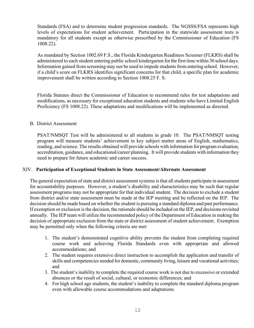Standards (FSA) and to determine student progression standards. The NGSSS/FSA represents high levels of expectations for student achievement. Participation in the statewide assessment tests is mandatory for all students except as otherwise prescribed by the Commissioner of Education (FS 1008.22).

As mandated by Section 1002.69 F.S., the Florida Kindergarten Readiness Screener (FLKRS) shall be administered to each student entering public school kindergarten for the first time within 30 school days. Information gained from screening may not be used to impede students from entering school. However, if a child's score on FLKRS identifies significant concerns for that child, a specific plan for academic improvement shall be written according to Section 1008.25 F. S.

Florida Statutes direct the Commissioner of Education to recommend rules for test adaptations and modifications, as necessary for exceptional education students and students who have Limited English Proficiency (FS 1008.22). These adaptations and modifications will be implemented as directed.

#### B. District Assessment

PSAT/NMSQT Test will be administered to all students in grade 10. The PSAT/NMSQT testing program will measure students' achievement in key subject matter areas of English, mathematics, reading, and science. The results obtained will provide schools with information for program evaluation, accreditation, guidance, and educational/career planning. It will provide students with information they need to prepare for future academic and career success.

## XIV. **Participation of Exceptional Students in State Assessment/Alternate Assessment**

The general expectation of state and district assessment systems is that all students participate in assessment for accountability purposes. However, a student's disability and characteristics may be such that regular assessment programs may not be appropriate for that individual student. The decision to exclude a student from district and/or state assessment must be made at the IEP meeting and be reflected on the IEP. The decision should be made based on whether the student is pursuing a standard diploma and past performance. If exemption or exclusion is the decision, the rationale should be included on the IEP, and decisions revisited annually. The IEP team will utilize the recommended policy of the Department of Education in making the decision of appropriate exclusion from the state or district assessment of student achievement. Exemption may be permitted only when the following criteria are met:

- 1. The student's demonstrated cognitive ability prevents the student from completing required course work and achieving Florida Standards even with appropriate and allowed accommodations; and
- 2. The student requires extensive direct instruction to accomplish the application and transfer of skills and competencies needed for domestic, community living, leisure and vocational activities; and
- 3. The student's inability to complete the required course work is not due to excessive or extended absences or the result of social, cultural, or economic differences; and
- 4. For high school age students, the student's inability to complete the standard diploma program even with allowable course accommodations and adaptations.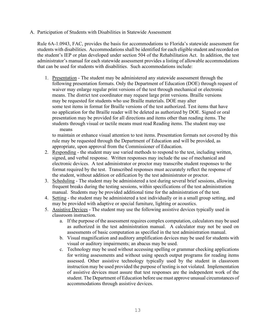A. Participation of Students with Disabilities in Statewide Assessment

Rule 6A-1.0943, FAC, provides the basis for accommodations to Florida's statewide assessment for students with disabilities. Accommodations shall be identified for each eligible student and recorded on the student's IEP or plan developed under section 504 of the Rehabilitation Act. In addition, the test administrator's manual for each statewide assessment provides a listing of allowable accommodations that can be used for students with disabilities. Such accommodations include:

 1. Presentation - The student may be administered any statewide assessment through the following presentation formats. Only the Department of Education (DOE) through request of waiver may enlarge regular print versions of the test through mechanical or electronic means. The district test coordinator may request large print versions. Braille versions may be requested for students who use Braille materials. DOE may alter some test items in format for Braille versions of the test authorized. Test items that have no application for the Braille reader will be deleted as authorized by DOE. Signed or oral presentation may be provided for all directions and items other than reading items. The students through visual or tactile means must read Reading items. The student may use means

 to maintain or enhance visual attention to test items. Presentation formats not covered by this rule may be requested through the Department of Education and will be provided, as appropriate, upon approval from the Commissioner of Education.

- 2. Responding the student may use varied methods to respond to the test, including written, signed, and verbal response. Written responses may include the use of mechanical and electronic devices. A test administrator or proctor may transcribe student responses to the format required by the test. Transcribed responses must accurately reflect the response of the student, without addition or edification by the test administrator or proctor.
- 3. Scheduling The student may be administered a test during several brief sessions, allowing frequent breaks during the testing sessions, within specifications of the test administration manual. Students may be provided additional time for the administration of the test.
- 4. Setting the student may be administered a test individually or in a small group setting, and may be provided with adaptive or special furniture, lighting or acoustics.
- 5. Assistive Devices The student may use the following assistive devices typically used in classroom instruction.
	- a. If the purpose of the assessment requires complex computation, calculators may be used as authorized in the test administration manual. A calculator may not be used on assessments of basic computation as specified in the test administration manual.
	- b. Visual magnification and auditory amplification devices may be used for students with visual or auditory impairments; an abacus may be used.
	- c. Technology may be used without accessing spelling or grammar checking applications for writing assessments and without using speech output programs for reading items assessed. Other assistive technology typically used by the student in classroom instruction may be used provided the purpose of testing is not violated. Implementation of assistive devices must assure that test responses are the independent work of the student. The Department of Education before use must approve unusual circumstances of accommodations through assistive devices.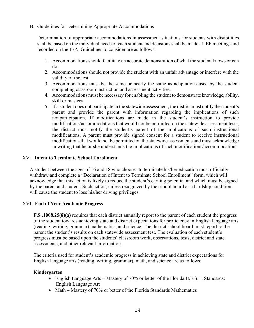#### B. Guidelines for Determining Appropriate Accommodations

Determination of appropriate accommodations in assessment situations for students with disabilities shall be based on the individual needs of each student and decisions shall be made at IEP meetings and recorded on the IEP. Guidelines to consider are as follows:

- 1. Accommodations should facilitate an accurate demonstration of what the student knows or can do.
- 2. Accommodations should not provide the student with an unfair advantage or interfere with the validity of the test.
- 3. Accommodations must be the same or nearly the same as adaptations used by the student completing classroom instruction and assessment activities.
- 4. Accommodations must be necessary for enabling the student to demonstrate knowledge, ability, skill or mastery.
- 5. If a student does not participate in the statewide assessment, the district must notify the student's parent and provide the parent with information regarding the implications of such nonparticipation. If modifications are made in the student's instruction to provide modifications/accommodations that would not be permitted on the statewide assessment tests, the district must notify the student's parent of the implications of such instructional modifications. A parent must provide signed consent for a student to receive instructional modifications that would not be permitted on the statewide assessments and must acknowledge in writing that he or she understands the implications of such modifications/accommodations.

#### XV. **Intent to Terminate School Enrollment**

A student between the ages of 16 and 18 who chooses to terminate his/her education must officially withdraw and complete a "Declaration of Intent to Terminate School Enrollment" form, which will acknowledge that this action is likely to reduce the student's earning potential and which must be signed by the parent and student. Such action, unless recognized by the school board as a hardship condition, will cause the student to lose his/her driving privileges.

## XVI. **End of Year Academic Progress**

**F.S .1008.25(8)(a)** requires that each district annually report to the parent of each student the progress of the student towards achieving state and district expectations for proficiency in English language arts (reading, writing, grammar) mathematics, and science. The district school board must report to the parent the student's results on each statewide assessment test. The evaluation of each student's progress must be based upon the students' classroom work, observations, tests, district and state assessments, and other relevant information.

The criteria used for student's academic progress in achieving state and district expectations for English language arts (reading, writing, grammar), math, and science are as follows:

#### **Kindergarten**

- English Language Arts Mastery of 70% or better of the Florida B.E.S.T. Standards: English Language Art
- Math Mastery of 70% or better of the Florida Standards Mathematics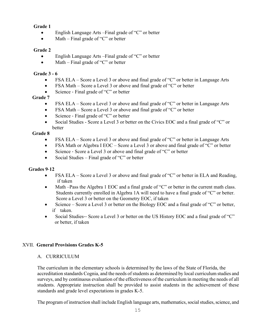## **Grade 1**

- English Language Arts Final grade of "C" or better
- Math Final grade of "C" or better

## **Grade 2**

- English Language Arts Final grade of "C" or better
- Math Final grade of "C" or better

## **Grade 3 - 6**

- FSA ELA Score a Level 3 or above and final grade of "C" or better in Language Arts
- FSA Math Score a Level 3 or above and final grade of "C" or better
- Science Final grade of "C" or better

## **Grade 7**

- FSA ELA Score a Level 3 or above and final grade of "C" or better in Language Arts
- FSA Math Score a Level 3 or above and final grade of "C" or better
- Science Final grade of "C" or better
- Social Studies Score a Level 3 or better on the Civics EOC and a final grade of "C" or better

## **Grade 8**

- FSA ELA Score a Level 3 or above and final grade of "C" or better in Language Arts
- FSA Math or Algebra I EOC Score a Level 3 or above and final grade of "C" or better
- Science Score a Level 3 or above and final grade of "C" or better
- Social Studies Final grade of "C" or better

## **Grades 9**‐**12**

- FSA ELA Score a Level 3 or above and final grade of "C" or better in ELA and Reading, if taken
- Math –Pass the Algebra 1 EOC and a final grade of "C" or better in the current math class. Students currently enrolled in Algebra 1A will need to have a final grade of "C" or better. Score a Level 3 or better on the Geometry EOC, if taken
- Science Score a Level 3 or better on the Biology EOC and a final grade of "C" or better, if taken.
- Social Studies-- Score a Level 3 or better on the US History EOC and a final grade of "C" or better, if taken

## XVII. **General Provisions Grades K-5**

## A. CURRICULUM

The curriculum in the elementary schools is determined by the laws of the State of Florida, the accreditation standards Cognia, and the needs of students as determined by local curriculum studies and surveys, and by continuous evaluation of the effectiveness of the curriculum in meeting the needs of all students. Appropriate instruction shall be provided to assist students in the achievement of these standards and grade level expectations in grades K-5.

The program of instruction shall include English language arts, mathematics, social studies, science, and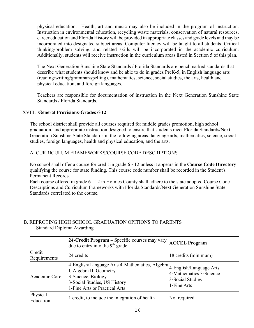physical education. Health, art and music may also be included in the program of instruction. Instruction in environmental education, recycling waste materials, conservation of natural resources, career education and Florida History will be provided in appropriate classes and grade levels and may be incorporated into designated subject areas. Computer literacy will be taught to all students. Critical thinking/problem solving, and related skills will be incorporated in the academic curriculum. Additionally, students will receive instruction in the curriculum areas listed in Section 5 of this plan.

The Next Generation Sunshine State Standards / Florida Standards are benchmarked standards that describe what students should know and be able to do in grades PreK-5, in English language arts (reading/writing/grammar/spelling), mathematics, science, social studies, the arts, health and physical education, and foreign languages.

Teachers are responsible for documentation of instruction in the Next Generation Sunshine State Standards / Florida Standards.

## XVIII. **General Provisions**‐**Grades 6**‐**12**

The school district shall provide all courses required for middle grades promotion, high school graduation, and appropriate instruction designed to ensure that students meet Florida Standards/Next Generation Sunshine State Standards in the following areas: language arts, mathematics, science, social studies, foreign languages, health and physical education, and the arts.

## A. CURRICULUM FRAMEWORKS/COURSE CODE DESCRIPTIONS

No school shall offer a course for credit in grade 6 ‐ 12 unless it appears in the **Course Code Directory**  qualifying the course for state funding. This course code number shall be recorded in the Student's Permanent Records.

Each course offered in grade 6 ‐ 12 in Holmes County shall adhere to the state adopted Course Code Descriptions and Curriculum Frameworks with Florida Standards/Next Generation Sunshine State Standards correlated to the course.

## B. REPROTING HIGH SCHOOL GRADUATION OPITIONS TO PARENTS Standard Diploma Awarding

|                        | 24-Credit Program - Specific courses may vary<br>due to entry into the 9 <sup>th</sup> grade                                                                                             | <b>ACCEL Program</b>                                       |
|------------------------|------------------------------------------------------------------------------------------------------------------------------------------------------------------------------------------|------------------------------------------------------------|
| Credit<br>Requirements | 24 credits                                                                                                                                                                               | 18 credits (minimum)                                       |
| Academic Core          | 4-English/Language Arts 4-Mathematics, Algebra 4-English/Language Arts<br>I, Algebra II, Geometry<br>3-Science, Biology<br>3-Social Studies, US History<br>1-Fine Arts or Practical Arts | 4-Mathematics 3-Science<br>3-Social Studies<br>1-Fine Arts |
| Physical<br>Education  | credit, to include the integration of health                                                                                                                                             | Not required                                               |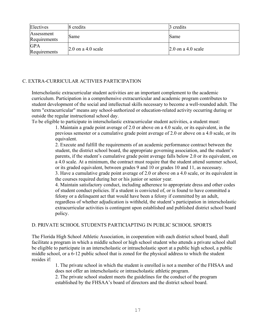| Electives                  | 8 credits            | 3 credits                  |
|----------------------------|----------------------|----------------------------|
| Assessment<br>Requirements | Same                 | Same                       |
| <b>GPA</b><br>Requirements | $2.0$ on a 4.0 scale | $\vert 2.0$ on a 4.0 scale |

## C. EXTRA-CURRICULAR ACTIVIES PARTICIPATION

Interscholastic extracurricular student activities are an important complement to the academic curriculum. Participation in a comprehensive extracurricular and academic program contributes to student development of the social and intellectual skills necessary to become a well-rounded adult. The term "extracurricular" means any school‐authorized or education‐related activity occurring during or outside the regular instructional school day.

To be eligible to participate in interscholastic extracurricular student activities, a student must:

1. Maintain a grade point average of 2.0 or above on a 4.0 scale, or its equivalent, in the previous semester or a cumulative grade point average of 2.0 or above on a 4.0 scale, or its equivalent.

2. Execute and fulfill the requirements of an academic performance contract between the student, the district school board, the appropriate governing association, and the student's parents, if the student's cumulative grade point average falls below 2.0 or its equivalent, on a 4.0 scale. At a minimum, the contract must require that the student attend summer school, or its graded equivalent, between grades 9 and 10 or grades 10 and 11, as necessary.

3. Have a cumulative grade point average of 2.0 or above on a 4.0 scale, or its equivalent in the courses required during her or his junior or senior year.

4. Maintain satisfactory conduct, including adherence to appropriate dress and other codes of student conduct policies. If a student is convicted of, or is found to have committed a felony or a delinquent act that would have been a felony if committed by an adult, regardless of whether adjudication is withheld, the student's participation in interscholastic extracurricular activities is contingent upon established and published district school board policy.

## D. PRIVATE SCHOOL STUDENTS PARTICIAPTING IN PUBLIC SCHOOL SPORTS

The Florida High School Athletic Association, in cooperation with each district school board, shall facilitate a program in which a middle school or high school student who attends a private school shall be eligible to participate in an interscholastic or intrascholastic sport at a public high school, a public middle school, or a 6‐12 public school that is zoned for the physical address to which the student resides if:

> 1. The private school in which the student is enrolled is not a member of the FHSAA and does not offer an interscholastic or intrascholastic athletic program.

2. The private school student meets the guidelines for the conduct of the program established by the FHSAA's board of directors and the district school board.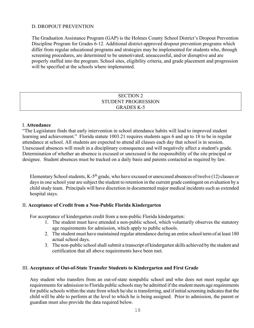#### D. DROPOUT PREVENTION

The Graduation Assistance Program (GAP) is the Holmes County School District's Dropout Prevention Discipline Program for Grades 6-12. Additional district-approved dropout prevention programs which differ from regular educational programs and strategies may be implemented for students who, through screening procedures, are determined to be unmotivated, unsuccessful, and/or disruptive and are properly staffed into the program. School sites, eligibility criteria, and grade placement and progression will be specified at the schools where implemented.

#### SECTION 2 STUDENT PROGRESSION GRADES K-5

#### I. **Attendance**

"The Legislature finds that early intervention in school attendance habits will lead to improved student learning and achievement." Florida statute 1003.21 requires students ages 6 and up to 18 to be in regular attendance at school. All students are expected to attend all classes each day that school is in session. Unexcused absences will result in a disciplinary consequence and will negatively affect a student's grade. Determination of whether an absence is excused or unexcused is the responsibility of the site principal or designee. Student absences must be tracked on a daily basis and parents contacted as required by law.

Elementary School students, K-5<sup>th</sup> grade, who have excused or unexcused absences of twelve (12) classes or days in one school year are subject the student to retention in the current grade contingent on evaluation by a child study team. Principals will have discretion in documented major medical incidents such as extended hospital stays.

#### II. **Acceptance of Credit from a Non-Public Florida Kindergarten**

For acceptance of kindergarten credit from a non-public Florida kindergarten:

- 1. The student must have attended a non-public school, which voluntarily observes the statutory age requirements for admission, which apply to public schools.
- 2. The student must have maintained regular attendance during an entire school term of at least 180 actual school days.
- 3. The non-public school shall submit a transcript of kindergarten skills achieved by the student and certification that all above requirements have been met.

#### III. **Acceptance of Out-of-State Transfer Students to Kindergarten and First Grade**

Any student who transfers from an out-of-state nonpublic school and who does not meet regular age requirements for admission to Florida public schools may be admitted if the student meets age requirements for public schools within the state from which he/she is transferring, and if initial screening indicates that the child will be able to perform at the level to which he is being assigned. Prior to admission, the parent or guardian must also provide the data required below.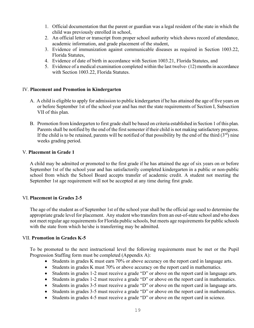- 1. Official documentation that the parent or guardian was a legal resident of the state in which the child was previously enrolled in school,
- 2. An official letter or transcript from proper school authority which shows record of attendance, academic information, and grade placement of the student,
- 3. Evidence of immunization against communicable diseases as required in Section 1003.22, Florida Statutes,
- 4. Evidence of date of birth in accordance with Section 1003.21, Florida Statutes, and
- 5. Evidence of a medical examination completed within the last twelve- (12) months in accordance with Section 1003.22, Florida Statutes.

#### IV. **Placement and Promotion in Kindergarten**

- A. A child is eligible to apply for admission to public kindergarten if he has attained the age of five years on or before September 1st of the school year and has met the state requirements of Section I, Subsection VII of this plan.
- B. Promotion from kindergarten to first grade shall be based on criteria established in Section 1 of this plan. Parents shall be notified by the end of the first semester if their child is not making satisfactory progress. If the child is to be retained, parents will be notified of that possibility by the end of the third  $(3<sup>rd</sup>)$  nine weeks grading period.

#### V. **Placement in Grade 1**

A child may be admitted or promoted to the first grade if he has attained the age of six years on or before September 1st of the school year and has satisfactorily completed kindergarten in a public or non-public school from which the School Board accepts transfer of academic credit. A student not meeting the September 1st age requirement will not be accepted at any time during first grade.

#### VI. **Placement in Grades 2-5**

The age of the student as of September 1st of the school year shall be the official age used to determine the appropriate grade level for placement. Any student who transfers from an out-of-state school and who does not meet regular age requirements for Florida public schools, but meets age requirements for public schools with the state from which he/she is transferring may be admitted.

#### VII. **Promotion in Grades K-5**

To be promoted to the next instructional level the following requirements must be met or the Pupil Progression Staffing form must be completed (Appendix A):

- Students in grades K must earn 70% or above accuracy on the report card in language arts.
- Students in grades K must 70% or above accuracy on the report card in mathematics.
- Students in grades 1-2 must receive a grade "D" or above on the report card in language arts.
- Students in grades 1-2 must receive a grade "D" or above on the report card in mathematics.
- Students in grades 3-5 must receive a grade "D" or above on the report card in language arts.
- Students in grades 3-5 must receive a grade "D" or above on the report card in mathematics.
- Students in grades 4-5 must receive a grade "D" or above on the report card in science.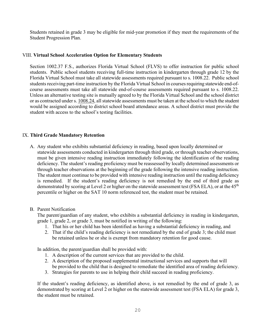Students retained in grade 3 may be eligible for mid-year promotion if they meet the requirements of the Student Progression Plan.

#### VIII. **Virtual School Acceleration Option for Elementary Students**

Section 1002.37 F.S., authorizes Florida Virtual School (FLVS) to offer instruction for public school students. Public school students receiving full-time instruction in kindergarten through grade 12 by the Florida Virtual School must take all statewide assessments required pursuant to s. [1008.22.](http://www.leg.state.fl.us/statutes/index.cfm?App_mode=Display_Statute&Search_String=Virtual%20School&URL=1000-1099/1008/Sections/1008.22.html) Public school students receiving part-time instruction by the Florida Virtual School in courses requiring statewide end-ofcourse assessments must take all statewide end-of-course assessments required pursuant to s. [1008.22.](http://www.leg.state.fl.us/statutes/index.cfm?App_mode=Display_Statute&Search_String=Virtual%20School&URL=1000-1099/1008/Sections/1008.22.html) Unless an alternative testing site is mutually agreed to by the Florida Virtual School and the school district or as contracted under s[. 1008.24,](http://www.leg.state.fl.us/statutes/index.cfm?App_mode=Display_Statute&Search_String=Virtual%20School&URL=1000-1099/1008/Sections/1008.24.html) all statewide assessments must be taken at the school to which the student would be assigned according to district school board attendance areas. A school district must provide the student with access to the school's testing facilities.

#### IX. **Third Grade Mandatory Retention**

A. Any student who exhibits substantial deficiency in reading, based upon locally determined or statewide assessments conducted in kindergarten through third grade, or through teacher observations, must be given intensive reading instruction immediately following the identification of the reading deficiency. The student's reading proficiency must be reassessed by locally determined assessments or through teacher observations at the beginning of the grade following the intensive reading instruction. The student must continue to be provided with intensive reading instruction until the reading deficiency is remedied. If the student's reading deficiency is not remedied by the end of third grade as demonstrated by scoring at Level 2 or higher on the statewide assessment test (FSA ELA), or at the  $45<sup>th</sup>$ percentile or higher on the SAT 10 norm referenced test, the student must be retained.

#### B. Parent Notification

The parent/guardian of any student, who exhibits a substantial deficiency in reading in kindergarten, grade 1, grade 2, or grade 3, must be notified in writing of the following:

- 1. That his or her child has been identified as having a substantial deficiency in reading, and
- 2. That if the child's reading deficiency is not remediated by the end of grade 3; the child must be retained unless he or she is exempt from mandatory retention for good cause.

In addition, the parent/guardian shall be provided with:

- 1. A description of the current services that are provided to the child.
- 2. A description of the proposed supplemental instructional services and supports that will be provided to the child that is designed to remediate the identified area of reading deficiency.
- 3. Strategies for parents to use in helping their child succeed in reading proficiency.

 If the student's reading deficiency, as identified above, is not remedied by the end of grade 3, as demonstrated by scoring at Level 2 or higher on the statewide assessment test (FSA ELA) for grade 3, the student must be retained.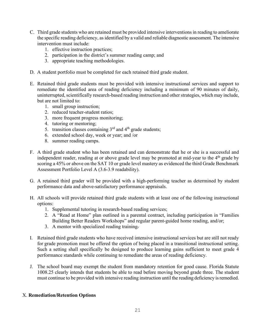- C. Third grade students who are retained must be provided intensive interventionsin reading to ameliorate the specific reading deficiency, as identified by a valid and reliable diagnostic assessment. The intensive intervention must include:
	- 1. effective instruction practices;
	- 2. participation in the district's summer reading camp; and
	- 3. appropriate teaching methodologies.
- D. A student portfolio must be completed for each retained third grade student.
- E. Retained third grade students must be provided with intensive instructional services and support to remediate the identified area of reading deficiency including a minimum of 90 minutes of daily, uninterrupted, scientifically research-based reading instruction and other strategies, which may include, but are not limited to:
	- 1. small group instruction;
	- 2. reduced teacher-student ratios;
	- 3. more frequent progress monitoring;
	- 4. tutoring or mentoring;
	- 5. transition classes containing  $3<sup>rd</sup>$  and  $4<sup>th</sup>$  grade students;
	- 6. extended school day, week or year; and /or
	- 8. summer reading camps.
- F. A third grade student who has been retained and can demonstrate that he or she is a successful and independent reader, reading at or above grade level may be promoted at mid-year to the  $4<sup>th</sup>$  grade by scoring a 45% or above on the SAT 10 or grade level mastery as evidenced the third Grade Benchmark Assessment Portfolio Level A (3.6-3.9 readability).
- G. A retained third grader will be provided with a high-performing teacher as determined by student performance data and above-satisfactory performance appraisals.
- H. All schools will provide retained third grade students with at least one of the following instructional options:
	- 1. Supplemental tutoring in research-based reading services;
	- 2. A "Read at Home" plan outlined in a parental contract, including participation in "Families Building Better Readers Workshops" and regular parent-guided home reading, and/or;
	- 3. A mentor with specialized reading training.
- I. Retained third grade students who have received intensive instructional services but are still not ready for grade promotion must be offered the option of being placed in a transitional instructional setting. Such a setting shall specifically be designed to produce learning gains sufficient to meet grade 4 performance standards while continuing to remediate the areas of reading deficiency.
- J. The school board may exempt the student from mandatory retention for good cause. Florida Statute 1008.25 clearly intends that students be able to read before moving beyond grade three. The student must continue to be provided with intensive reading instruction until the reading deficiency is remedied.

## X. **Remediation/Retention Options**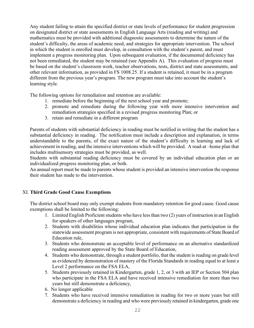Any student failing to attain the specified district or state levels of performance for student progression on designated district or state assessments in English Language Arts (reading and writing) and mathematics must be provided with additional diagnostic assessments to determine the nature of the student's difficulty, the areas of academic need, and strategies for appropriate intervention. The school in which the student is enrolled must develop, in consultation with the student's parent, and must implement a progress monitoring plan. Upon subsequent evaluation, if the documented deficiency has not been remediated, the student may be retained (see Appendix A). This evaluation of progress must be based on the student's classroom work, teacher observations, tests, district and state assessments, and other relevant information, as provided in FS 1008.25. If a student is retained, it must be in a program different from the previous year's program. The new program must take into account the student's learning style.

The following options for remediation and retention are available:

- 1. remediate before the beginning of the next school year and promote;
- 2. promote and remediate during the following year with more intensive intervention and remediation strategies specified in a revised progress monitoring Plan; or
- 3. retain and remediate in a different program

Parents of students with substantial deficiency in reading must be notified in writing that the student has a substantial deficiency in reading. The notification must include a description and explanation, in terms understandable to the parents, of the exact nature of the student's difficulty in learning and lack of achievement in reading, and the intensive interventions which will be provided. A read-at –home plan that includes multisensory strategies must be provided, as well.

Students with substantial reading deficiency must be covered by an individual education plan or an individualized progress monitoring plan, or both.

An annual report must be made to parents whose student is provided an intensive intervention the response their student has made to the intervention.

## XI. **Third Grade Good Cause Exemptions**

The district school board may only exempt students from mandatory retention for good cause. Good cause exemptions shall be limited to the following:

- 1. Limited English Proficient students who have less than two (2) years of instruction in an English for speakers of other languages program,
- 2. Students with disabilities whose individual education plan indicates that participation in the statewide assessment program is not appropriate, consistent with requirements of State Board of Education rule,
- 3. Students who demonstrate an acceptable level of performance on an alternative standardized reading assessment approved by the State Board of Education,
- 4. Students who demonstrate, through a student portfolio, that the student is reading on grade level as evidenced by demonstration of mastery of the Florida Standards in reading equal to at least a Level 2 performance on the FSA ELA,
- 5. Students previously retained in Kindergarten, grade 1, 2, or 3 with an IEP or Section 504 plan who participate in the FSA ELA and have received intensive remediation for more than two years but still demonstrate a deficiency,
- 6. No longer applicable
- 7. Students who have received intensive remediation in reading for two or more years but still demonstrate a deficiency in reading and who were previously retained in kindergarten, grade one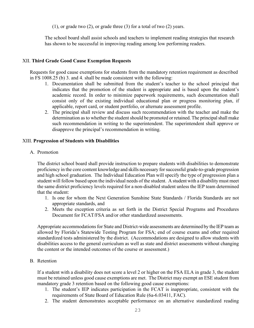(1), or grade two (2), or grade three (3) for a total of two (2) years.

The school board shall assist schools and teachers to implement reading strategies that research has shown to be successful in improving reading among low performing readers.

## XII. **Third Grade Good Cause Exemption Requests**

Requests for good cause exemptions for students from the mandatory retention requirement as described in FS 1008.25 (b) 3. and 4. shall be made consistent with the following:

- 1. Documentation shall be submitted from the student's teacher to the school principal that indicates that the promotion of the student is appropriate and is based upon the student's academic record. In order to minimize paperwork requirements, such documentation shall consist only of the existing individual educational plan or progress monitoring plan, if applicable, report card, or student portfolio, or alternate assessment profile.
- 2. The principal shall review and discuss such recommendation with the teacher and make the determination as to whether the student should be promoted or retained. The principal shall make such recommendation in writing to the superintendent. The superintendent shall approve or disapprove the principal's recommendation in writing.

## XIII. **Progression of Students with Disabilities**

A. Promotion

The district school board shall provide instruction to prepare students with disabilities to demonstrate proficiency in the core content knowledge and skills necessary for successful grade-to-grade progression and high school graduation. The Individual Education Plan will specify the type of progression plan a student will follow based upon the individual needs of the student. A student with a disability must meet the same district proficiency levels required for a non-disabled student unless the IEP team determined that the student:

- 1. Is one for whom the Next Generation Sunshine State Standards / Florida Standards are not appropriate standards, and
- 2. Meets the exception criteria as set forth in the District Special Programs and Procedures Document for FCAT/FSA and/or other standardized assessments.

Appropriate accommodations for State and District-wide assessments are determined by the IEP team as allowed by Florida's Statewide Testing Program for FSA; end of course exams and other required standardized tests administered by the district. (Accommodations are designed to allow students with disabilities access to the general curriculum as well as state and district assessments without changing the content or the intended outcomes of the course or assessment.)

B. Retention

If a student with a disability does not score a level 2 or higher on the FSA ELA in grade 3, the student must be retained unless good cause exemptions are met. The District may exempt an ESE student from mandatory grade 3 retention based on the following good cause exemptions:

- 1. The student's IEP indicates participation in the FCAT is inappropriate, consistent with the requirements of State Board of Education Rule (6a-6.03411, FAC).
- 2. The student demonstrates acceptable performance on an alternative standardized reading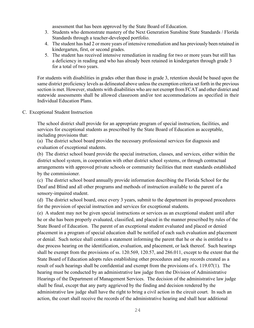assessment that has been approved by the State Board of Education.

- 3. Students who demonstrate mastery of the Next Generation Sunshine State Standards / Florida Standards through a teacher-developed portfolio.
- 4. The student has had 2 or more years of intensive remediation and has previously been retained in kindergarten, first, or second grades.
- 5. The student has received intensive remediation in reading for two or more years but still has a deficiency in reading and who has already been retained in kindergarten through grade 3 for a total of two years.

For students with disabilities in grades other than those in grade 3, retention should be based upon the same district proficiency levels as delineated above unless the exemption criteria set forth in the previous section is met. However, students with disabilities who are not exempt from FCAT and other district and statewide assessments shall be allowed classroom and/or test accommodations as specified in their Individual Education Plans.

#### C. Exceptional Student Instruction

The school district shall provide for an appropriate program of special instruction, facilities, and services for exceptional students as prescribed by the State Board of Education as acceptable, including provisions that:

(a) The district school board provides the necessary professional services for diagnosis and evaluation of exceptional students.

(b) The district school board provide the special instruction, classes, and services, either within the district school system, in cooperation with other district school systems, or through contractual arrangements with approved private schools or community facilities that meet standards established by the commissioner.

(c) The district school board annually provide information describing the Florida School for the Deaf and Blind and all other programs and methods of instruction available to the parent of a sensory-impaired student.

(d) The district school board, once every 3 years, submit to the department its proposed procedures for the provision of special instruction and services for exceptional students.

(e) A student may not be given special instructions or services as an exceptional student until after he or she has been properly evaluated, classified, and placed in the manner prescribed by rules of the State Board of Education. The parent of an exceptional student evaluated and placed or denied placement in a program of special education shall be notified of each such evaluation and placement or denial. Such notice shall contain a statement informing the parent that he or she is entitled to a due process hearing on the identification, evaluation, and placement, or lack thereof. Such hearings shall be exempt from the provisions of ss. 120.569, 120.57, and 286.011, except to the extent that the State Board of Education adopts rules establishing other procedures and any records created as a result of such hearings shall be confidential and exempt from the provisions of s. 119.07(1). The hearing must be conducted by an administrative law judge from the Division of Administrative Hearings of the Department of Management Services. The decision of the administrative law judge shall be final, except that any party aggrieved by the finding and decision rendered by the administrative law judge shall have the right to bring a civil action in the circuit court. In such an action, the court shall receive the records of the administrative hearing and shall hear additional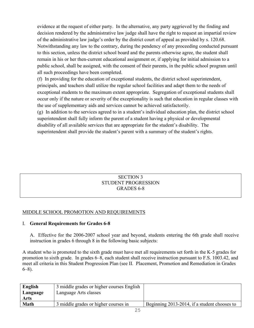evidence at the request of either party. In the alternative, any party aggrieved by the finding and decision rendered by the administrative law judge shall have the right to request an impartial review of the administrative law judge's order by the district court of appeal as provided by s. 120.68. Notwithstanding any law to the contrary, during the pendency of any proceeding conducted pursuant to this section, unless the district school board and the parents otherwise agree, the student shall remain in his or her then-current educational assignment or, if applying for initial admission to a public school, shall be assigned, with the consent of their parents, in the public school program until all such proceedings have been completed.

(f) In providing for the education of exceptional students, the district school superintendent, principals, and teachers shall utilize the regular school facilities and adapt them to the needs of exceptional students to the maximum extent appropriate. Segregation of exceptional students shall occur only if the nature or severity of the exceptionality is such that education in regular classes with the use of supplementary aids and services cannot be achieved satisfactorily.

(g) In addition to the services agreed to in a student's individual education plan, the district school superintendent shall fully inform the parent of a student having a physical or developmental disability of all available services that are appropriate for the student's disability. The superintendent shall provide the student's parent with a summary of the student's rights.

## SECTION 3 STUDENT PROGRESSION GRADES 6-8

## MIDDLE SCHOOL PROMOTION AND REQUIREMENTS

## I. **General Requirements for Grades 6-8**

A. Effective for the 2006-2007 school year and beyond, students entering the 6th grade shall receive instruction in grades 6 through 8 in the following basic subjects:

A student who is promoted to the sixth grade must have met all requirements set forth in the K-5 grades for promotion to sixth grade. In grades 6–8, each student shall receive instruction pursuant to F.S. 1003.42, and meet all criteria in this Student Progression Plan (see II. Placement, Promotion and Remediation in Grades 6–8).

| English  | 3 middle grades or higher courses English |                                              |
|----------|-------------------------------------------|----------------------------------------------|
| Language | Language Arts classes                     |                                              |
| Arts     |                                           |                                              |
| Math     | 3 middle grades or higher courses in      | Beginning 2013-2014, if a student chooses to |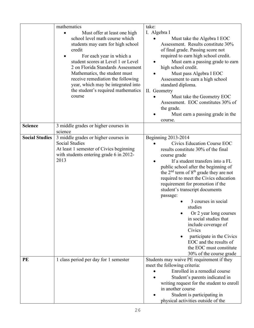|                       | mathematics<br>Must offer at least one high<br>school level math course which<br>students may earn for high school<br>credit<br>For each year in which a<br>student scores at Level 1 or Level<br>2 on Florida Standards Assessment<br>Mathematics, the student must<br>receive remediation the following | take:<br>I. Algebra I<br>Must take the Algebra I EOC<br>Assessment. Results constitute 30%<br>of final grade. Passing score not<br>required to earn high school credit.<br>Must earn a passing grade to earn<br>high school credit.<br>Must pass Algebra I EOC                                                                                                                                                                                                                                                                                                                                                                |
|-----------------------|-----------------------------------------------------------------------------------------------------------------------------------------------------------------------------------------------------------------------------------------------------------------------------------------------------------|-------------------------------------------------------------------------------------------------------------------------------------------------------------------------------------------------------------------------------------------------------------------------------------------------------------------------------------------------------------------------------------------------------------------------------------------------------------------------------------------------------------------------------------------------------------------------------------------------------------------------------|
|                       | year, which may be integrated into<br>the student's required mathematics<br>course                                                                                                                                                                                                                        | Assessment to earn a high school<br>standard diploma.<br>II. Geometry<br>Must take the Geometry EOC<br>Assessment. EOC constitutes 30% of<br>the grade.                                                                                                                                                                                                                                                                                                                                                                                                                                                                       |
|                       |                                                                                                                                                                                                                                                                                                           | Must earn a passing grade in the<br>course.                                                                                                                                                                                                                                                                                                                                                                                                                                                                                                                                                                                   |
| <b>Science</b>        | 3 middle grades or higher courses in<br>science                                                                                                                                                                                                                                                           |                                                                                                                                                                                                                                                                                                                                                                                                                                                                                                                                                                                                                               |
| <b>Social Studies</b> | 3 middle grades or higher courses in<br><b>Social Studies</b><br>At least 1 semester of Civics beginning<br>with students entering grade 6 in 2012-<br>2013                                                                                                                                               | <b>Beginning 2013-2014</b><br>Civics Education Course EOC<br>results constitute 30% of the final<br>course grade<br>If a student transfers into a FL<br>public school after the beginning of<br>the 2 <sup>nd</sup> term of 8 <sup>th</sup> grade they are not<br>required to meet the Civics education<br>requirement for promotion if the<br>student's transcript documents<br>passage:<br>3 courses in social<br>studies<br>Or 2 year long courses<br>in social studies that<br>include coverage of<br>Civics<br>participate in the Civics<br>EOC and the results of<br>the EOC must constitute<br>30% of the course grade |
| PE                    | 1 class period per day for 1 semester                                                                                                                                                                                                                                                                     | Students may waive PE requirement if they<br>meet the following criteria:<br>Enrolled in a remedial course<br>Student's parents indicated in<br>writing request for the student to enroll<br>in another course<br>Student is participating in<br>physical activities outside of the                                                                                                                                                                                                                                                                                                                                           |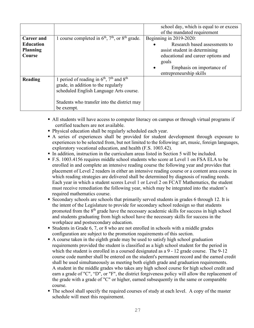|                   |                                                       | school day, which is equal to or excess |
|-------------------|-------------------------------------------------------|-----------------------------------------|
|                   |                                                       | of the mandated requirement             |
| <b>Career and</b> | 1 course completed in $6th$ , $7th$ , or $8th$ grade. | Beginning in 2019-2020:                 |
| <b>Education</b>  |                                                       | Research based assessments to           |
| <b>Planning</b>   |                                                       | assist student in determining           |
| Course            |                                                       | educational and career options and      |
|                   |                                                       | goals                                   |
|                   |                                                       | Emphasis on importance of               |
|                   |                                                       | entrepreneurship skills                 |
| Reading           | 1 period of reading in $6th$ , $7th$ and $8th$        |                                         |
|                   | grade, in addition to the regularly                   |                                         |
|                   | scheduled English Language Arts course.               |                                         |
|                   |                                                       |                                         |
|                   | Students who transfer into the district may           |                                         |
|                   | be exempt.                                            |                                         |

- All students will have access to computer literacy on campus or through virtual programs if certified teachers are not available.
- Physical education shall be regularly scheduled each year.
- A series of experiences shall be provided for student development through exposure to experiences to be selected from, but not limited to the following: art, music, foreign languages, exploratory vocational education, and health (F.S. 1003.42).
- In addition, instruction in the curriculum areas listed in Section 5 will be included.
- F.S. 1003.4156 requires middle school students who score at Level 1 on FSA ELA to be enrolled in and complete an intensive reading course the following year and provides that placement of Level 2 readers in either an intensive reading course or a content area course in which reading strategies are delivered shall be determined by diagnosis of reading needs. Each year in which a student scores Level 1 or Level 2 on FCAT Mathematics, the student must receive remediation the following year, which may be integrated into the student's required mathematics course.
- Secondary schools are schools that primarily served students in grades 6 through 12. It is the intent of the Legislature to provide for secondary school redesign so that students promoted from the  $8<sup>th</sup>$  grade have the necessary academic skills for success in high school and students graduating from high school have the necessary skills for success in the workplace and postsecondary education.
- Students in Grade 6, 7, or 8 who are not enrolled in schools with a middle grades configuration are subject to the promotion requirements of this section.
- A course taken in the eighth grade may be used to satisfy high school graduation requirements provided the student is classified as a high school student for the period in which the student is enrolled in a coursed designated as a 9 - 12 grade course. The 9-12 course code number shall be entered on the student's permanent record and the earned credit shall be used simultaneously as meeting both eighth grade and graduation requirements. A student in the middle grades who takes any high school course for high school credit and earn a grade of "C", "D", or "F", the district forgiveness policy will allow the replacement of the grade with a grade of "C" or higher, earned subsequently in the same or comparable course.
- The school shall specify the required courses of study at each level. A copy of the master schedule will meet this requirement.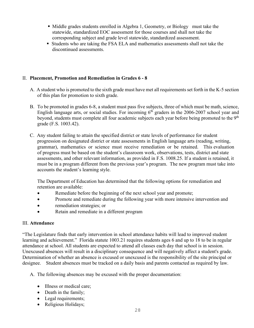- Middle grades students enrolled in Algebra 1, Geometry, or Biology must take the statewide, standardized EOC assessment for those courses and shall not take the corresponding subject and grade level statewide, standardized assessment.
- Students who are taking the FSA ELA and mathematics assessments shall not take the discontinued assessments.

## II. **Placement, Promotion and Remediation in Grades 6 - 8**

- A. A student who is promoted to the sixth grade must have met all requirements set forth in the K-5 section of this plan for promotion to sixth grade.
- B. To be promoted in grades 6-8, a student must pass five subjects, three of which must be math, science, English language arts, or social studies. For incoming  $6<sup>th</sup>$  graders in the 2006-2007 school year and beyond, students must complete all four academic subjects each year before being promoted to the 9<sup>th</sup> grade (F.S. 1003.42).
- C. Any student failing to attain the specified district or state levels of performance for student progression on designated district or state assessments in English language arts (reading, writing, grammar), mathematics or science must receive remediation or be retained. This evaluation of progress must be based on the student's classroom work, observations, tests, district and state assessments, and other relevant information, as provided in F.S. 1008.25. If a student is retained, it must be in a program different from the previous year's program. The new program must take into accounts the student's learning style.

The Department of Education has determined that the following options for remediation and retention are available:

- Remediate before the beginning of the next school year and promote;
- Promote and remediate during the following year with more intensive intervention and
- remediation strategies; or
- Retain and remediate in a different program

## III. **Attendance**

"The Legislature finds that early intervention in school attendance habits will lead to improved student learning and achievement." Florida statute 1003.21 requires students ages 6 and up to 18 to be in regular attendance at school. All students are expected to attend all classes each day that school is in session. Unexcused absences will result in a disciplinary consequence and will negatively affect a student's grade. Determination of whether an absence is excused or unexcused is the responsibility of the site principal or designee. Student absences must be tracked on a daily basis and parents contacted as required by law.

A. The following absences may be excused with the proper documentation:

- Illness or medical care;
- Death in the family;
- Legal requirements;
- Religious Holidays;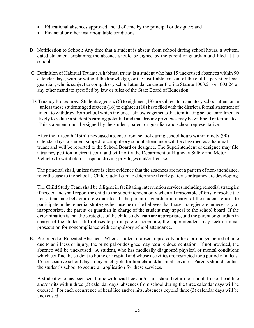- Educational absences approved ahead of time by the principal or designee; and
- Financial or other insurmountable conditions.
- B. Notification to School: Any time that a student is absent from school during school hours, a written, dated statement explaining the absence should be signed by the parent or guardian and filed at the school.
- C. Definition of Habitual Truant: A habitual truant is a student who has 15 unexcused absences within 90 calendar days, with or without the knowledge, or the justifiable consent of the child's parent or legal guardian, who is subject to compulsory school attendance under Florida Statute 1003.21 or 1003.24 or any other mandate specified by law or rules of the State Board of Education.
- D. Truancy Procedures: Students aged six (6) to eighteen (18) are subject to mandatory school attendance unless those students aged sixteen (16) to eighteen (18) have filed with the district a formal statement of intent to withdraw from school which includes acknowledgements that terminating school enrollment is likely to reduce a student's earning potential and that driving privileges may be withheld or terminated. This statement must be signed by the student, parent or guardian and school representative.

After the fifteenth (15th) unexcused absence from school during school hours within ninety (90) calendar days, a student subject to compulsory school attendance will be classified as a habitual truant and will be reported to the School Board or designee. The Superintendent or designee may file a truancy petition in circuit court and will notify the Department of Highway Safety and Motor Vehicles to withhold or suspend driving privileges and/or license.

The principal shall, unless there is clear evidence that the absences are not a pattern of non-attendance, refer the case to the school's Child Study Team to determine if early patterns or truancy are developing.

The Child Study Team shall be diligent in facilitating intervention services including remedial strategies if needed and shall report the child to the superintendent only when all reasonable efforts to resolve the non-attendance behavior are exhausted. If the parent or guardian in charge of the student refuses to participate in the remedial strategies because he or she believes that those strategies are unnecessary or inappropriate, the parent or guardian in charge of the student may appeal to the school board. If the determination is that the strategies of the child study team are appropriate, and the parent or guardian in charge of the student still refuses to participate or cooperate; the superintendent may seek criminal prosecution for noncompliance with compulsory school attendance.

E. Prolonged or Repeated Absences: When a student is absent repeatedly or for a prolonged period of time due to an illness or injury, the principal or designee may require documentation. If not provided, the absence will be unexcused. A student, who has medically diagnosed physical or mental conditions which confine the student to home or hospital and whose activities are restricted for a period of at least 15 consecutive school days, may be eligible for homebound/hospital services. Parents should contact the student's school to secure an application for these services.

A student who has been sent home with head lice and/or nits should return to school, free of head lice and/or nits within three (3) calendar days; absences from school during the three calendar days will be excused. For each occurrence of head lice and/or nits, absences beyond three (3) calendar days will be unexcused.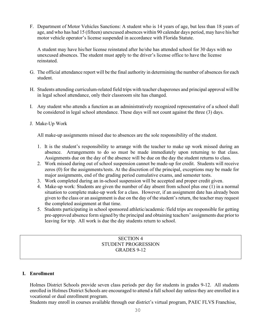F. Department of Motor Vehicles Sanctions: A student who is 14 years of age, but less than 18 years of age, and who has had 15 (fifteen) unexcused absences within 90 calendar days period, may have his/her motor vehicle operator's license suspended in accordance with Florida Statute.

A student may have his/her license reinstated after he/she has attended school for 30 days with no unexcused absences. The student must apply to the driver's license office to have the license reinstated.

- G. The official attendance report will be the final authority in determining the number of absences for each student.
- H. Students attending curriculum-related field trips with teacher chaperones and principal approval will be in legal school attendance, only their classroom site has changed.
- I. Any student who attends a function as an administratively recognized representative of a school shall be considered in legal school attendance. These days will not count against the three (3) days.
- J. Make-Up Work

All make-up assignments missed due to absences are the sole responsibility of the student.

- 1. It is the student's responsibility to arrange with the teacher to make up work missed during an absence. Arrangements to do so must be made immediately upon returning to that class. Assignments due on the day of the absence will be due on the day the student returns to class.
- 2. Work missed during out of school suspension cannot be made-up for credit. Students will receive zeros (0) for the assignments/tests. At the discretion of the principal, exceptions may be made for major assignments, end of the grading period cumulative exams, and semester tests.
- 3. Work completed during an in-school suspension will be accepted and proper credit given.
- 4. Make-up work: Students are given the number of day absent from school plus one (1) in a normal situation to complete make-up work for a class. However, if an assignment date has already been given to the class or an assignment is due on the day of the student's return, the teacher may request the completed assignment at that time.
- 5. Students participating in school sponsored athletic/academic /field trips are responsible for getting pre-approved absence form signed by the principal and obtaining teachers' assignments due prior to leaving for trip. All work is due the day students return to school.

## SECTION 4 STUDENT PROGRESSION GRADES 9-12

## **I. Enrollment**

Holmes District Schools provide seven class periods per day for students in grades 9-12. All students enrolled in Holmes District Schools are encouraged to attend a full school day unless they are enrolled in a vocational or dual enrollment program.

Students may enroll in courses available through our district's virtual program, PAEC FLVS Franchise,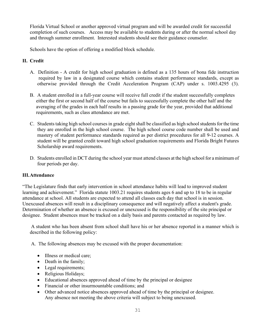Florida Virtual School or another approved virtual program and will be awarded credit for successful completion of such courses. Access may be available to students during or after the normal school day and through summer enrollment. Interested students should see their guidance counselor.

Schools have the option of offering a modified block schedule.

## **II. Credit**

- A. Definition A credit for high school graduation is defined as a 135 hours of bona fide instruction required by law in a designated course which contains student performance standards, except as otherwise provided through the Credit Acceleration Program (CAP) under s. 1003.4295 (3).
- B. A student enrolled in a full-year course will receive full credit if the student successfully completes either the first or second half of the course but fails to successfully complete the other half and the averaging of the grades in each half results in a passing grade for the year, provided that additional requirements, such as class attendance are met.
- C. Students taking high school courses in grade eight shall be classified as high school students for the time they are enrolled in the high school course. The high school course code number shall be used and mastery of student performance standards required as per district procedures for all 9-12 courses. A student will be granted credit toward high school graduation requirements and Florida Bright Futures Scholarship award requirements.
- D. Students enrolled in DCT during the school year must attend classes at the high school for a minimum of four periods per day.

## **III.Attendance**

"The Legislature finds that early intervention in school attendance habits will lead to improved student learning and achievement." Florida statute 1003.21 requires students ages 6 and up to 18 to be in regular attendance at school. All students are expected to attend all classes each day that school is in session. Unexcused absences will result in a disciplinary consequence and will negatively affect a student's grade. Determination of whether an absence is excused or unexcused is the responsibility of the site principal or designee. Student absences must be tracked on a daily basis and parents contacted as required by law.

A student who has been absent from school shall have his or her absence reported in a manner which is described in the following policy:

A. The following absences may be excused with the proper documentation:

- Illness or medical care;
- Death in the family;
- Legal requirements;
- Religious Holidays;
- Educational absences approved ahead of time by the principal or designee
- Financial or other insurmountable conditions; and
- Other advanced notice absences approved ahead of time by the principal or designee. Any absence not meeting the above criteria will subject to being unexcused.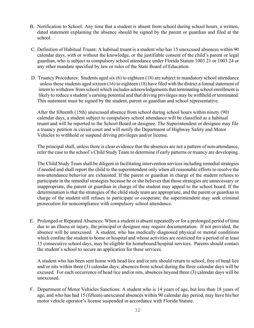- B. Notification to School: Any time that a student is absent from school during school hours, a written, dated statement explaining the absence should be signed by the parent or guardian and filed at the school.
- C. Definition of Habitual Truant: A habitual truant is a student who has 15 unexcused absences within 90 calendar days, with or without the knowledge, or the justifiable consent of the child's parent or legal guardian, who is subject to compulsory school attendance under Florida Statute 1003.21 or 1003.24 or any other mandate specified by law or rules of the State Board of Education.
- D. Truancy Procedures: Students aged six (6) to eighteen (18) are subject to mandatory school attendance unless those students aged sixteen (16) to eighteen (18) have filed with the district a formal statement of intent to withdraw from school which includes acknowledgements that terminating school enrollment is likely to reduce a student's earning potential and that driving privileges may be withheld or terminated. This statement must be signed by the student, parent or guardian and school representative.

After the fifteenth (15th) unexcused absence from school during school hours within ninety (90) calendar days, a student subject to compulsory school attendance will be classified as a habitual truant and will be reported to the School Board or designee. The Superintendent or designee may file a truancy petition in circuit court and will notify the Department of Highway Safety and Motor Vehicles to withhold or suspend driving privileges and/or license.

The principal shall, unless there is clear evidence that the absences are not a pattern of non-attendance, refer the case to the school's Child Study Team to determine if early patterns or truancy are developing.

The Child Study Team shall be diligent in facilitating intervention services including remedial strategies if needed and shall report the child to the superintendent only when all reasonable efforts to resolve the non-attendance behavior are exhausted. If the parent or guardian in charge of the student refuses to participate in the remedial strategies because he or she believes that those strategies are unnecessary or inappropriate, the parent or guardian in charge of the student may appeal to the school board. If the determination is that the strategies of the child study team are appropriate, and the parent or guardian in charge of the student still refuses to participate or cooperate; the superintendent may seek criminal prosecution for noncompliance with compulsory school attendance.

E. Prolonged or Repeated Absences: When a student is absent repeatedly or for a prolonged period of time due to an illness or injury, the principal or designee may require documentation. If not provided, the absence will be unexcused. A student, who has medically diagnosed physical or mental conditions which confine the student to home or hospital and whose activities are restricted for a period of at least 15 consecutive school days, may be eligible for homebound/hospital services. Parents should contact the student's school to secure an application for these services.

A student who has been sent home with head lice and/or nits should return to school, free of head lice and/or nits within three (3) calendar days; absences from school during the three calendar days will be excused. For each occurrence of head lice and/or nits, absences beyond three (3) calendar days will be unexcused.

F. Department of Motor Vehicles Sanctions: A student who is 14 years of age, but less than 18 years of age, and who has had 15 (fifteen) unexcused absences within 90 calendar day period, may have his/her motor vehicle operator's license suspended in accordance with Florida Statute.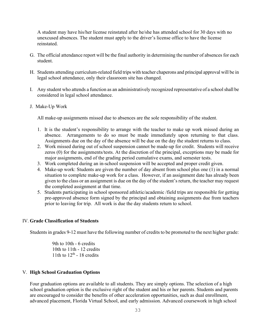A student may have his/her license reinstated after he/she has attended school for 30 days with no unexcused absences. The student must apply to the driver's license office to have the license reinstated.

- G. The official attendance report will be the final authority in determining the number of absences for each student.
- H. Students attending curriculum-related field trips with teacher chaperons and principal approval will be in legal school attendance, only their classroom site has changed.
- I. Any student who attends a function as an administratively recognized representative of a school shall be considered in legal school attendance.
- J. Make-Up Work

All make-up assignments missed due to absences are the sole responsibility of the student.

- 1. It is the student's responsibility to arrange with the teacher to make up work missed during an absence. Arrangements to do so must be made immediately upon returning to that class. Assignments due on the day of the absence will be due on the day the student returns to class.
- 2. Work missed during out of school suspension cannot be made-up for credit. Students will receive zeros (0) for the assignments/tests. At the discretion of the principal, exceptions may be made for major assignments, end of the grading period cumulative exams, and semester tests.
- 3. Work completed during an in-school suspension will be accepted and proper credit given.
- 4. Make-up work: Students are given the number of day absent from school plus one (1) in a normal situation to complete make-up work for a class. However, if an assignment date has already been given to the class or an assignment is due on the day of the student's return, the teacher may request the completed assignment at that time.
- 5. Students participating in school sponsored athletic/academic /field trips are responsible for getting pre-approved absence form signed by the principal and obtaining assignments due from teachers prior to leaving for trip. All work is due the day students return to school.

## IV. **Grade Classification of Students**

Students in grades 9-12 must have the following number of credits to be promoted to the next higher grade:

9th to 10th - 6 credits 10th to 11th - 12 credits 11th to  $12<sup>th</sup>$  - 18 credits

## V. **High School Graduation Options**

Four graduation options are available to all students. They are simply options. The selection of a high school graduation option is the exclusive right of the student and his or her parents. Students and parents are encouraged to consider the benefits of other acceleration opportunities, such as dual enrollment, advanced placement, Florida Virtual School, and early admission. Advanced coursework in high school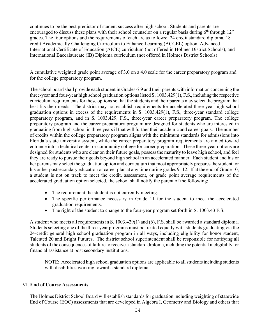continues to be the best predictor of student success after high school. Students and parents are encouraged to discuss these plans with their school counselor on a regular basis during  $6<sup>th</sup>$  through  $12<sup>th</sup>$ grades. The four options and the requirements of each are as follows: 24 credit standard diploma, 18 credit Academically Challenging Curriculum to Enhance Learning (ACCEL) option, Advanced International Certificate of Education (AICE) curriculum (not offered in Holmes District Schools), and International Baccalaureate (IB) Diploma curriculum (not offered in Holmes District Schools)

A cumulative weighted grade point average of 3.0 on a 4.0 scale for the career preparatory program and for the college preparatory program.

The school board shall provide each student in Grades 6-9 and their parents with information concerning the three-year and four-year high school graduation options listed S. 1003.429(1), F.S., including the respective curriculum requirements for these options so that the students and their parents may select the program that best fits their needs. The district may not establish requirements for accelerated three-year high school graduation options in excess of the requirements in S. 1003.429(1), F.S., three-year standard college preparatory program, and in S. 1003.429, F.S., three-year career preparatory program. The college preparatory program and the career preparatory program are designed for students who are interested in graduating from high school in three years if that will further their academic and career goals. The number of credits within the college preparatory program aligns with the minimum standards for admissions into Florida's state university system, while the career preparatory program requirements are aimed toward entrance into a technical center or community college for career preparation. These three-year options are designed for students who are clear on their future goals, possess the maturity to leave high school, and feel they are ready to pursue their goals beyond high school in an accelerated manner. Each student and his or her parents may select the graduation option and curriculum that most appropriately prepares the student for his or her postsecondary education or career plan at any time during grades 9 -12. If at the end of Grade 10, a student is not on track to meet the credit, assessment, or grade point average requirements of the accelerated graduation option selected, the school shall notify the parent of the following:

- The requirement the student is not currently meeting.
- The specific performance necessary in Grade 11 for the student to meet the accelerated graduation requirements.
- The right of the student to change to the four-year program set forth in S. 1003.43 F.S.

A student who meets all requirements in S. 1003.429(1) and (6), F.S. shall be awarded a standard diploma. Students selecting one of the three-year programs must be treated equally with students graduating via the 24-credit general high school graduation program in all ways, including eligibility for honor student, Talented 20 and Bright Futures. The district school superintendent shall be responsible for notifying all students of the consequences of failure to receive a standard diploma, including the potential ineligibility for financial assistance at post secondary institutions.

NOTE: Accelerated high school graduation options are applicable to all students including students with disabilities working toward a standard diploma.

## VI. **End of Course Assessments**

The Holmes District School Board will establish standards for graduation including weighting of statewide End of Course (EOC) assessments that are developed in Algebra I, Geometry and Biology and others that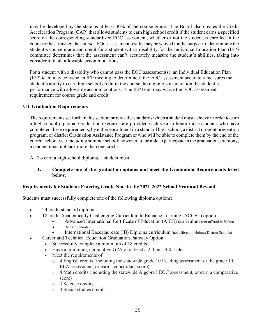may be developed by the state as at least 30% of the course grade. The Board also creates the Credit Acceleration Program (CAP) that allows students to earn high school credit if the student earns a specified score on the corresponding standardized EOC assessment, whether or not the student is enrolled in the course or has finished the course. EOC assessment results may be waived for the purpose of determining the student's course grade and credit for a student with a disability for the Individual Education Plan (IEP) committee determines that the assessment can't accurately measure the student's abilities, taking into consideration all allowable accommodations.

For a student with a disability who cannot pass the EOC assessment(s), an Individual Education Plan (IEP) team may convene an IEP meeting to determine if the EOC assessment accurately measures the student's ability to earn high school credit in the course, taking into consideration the student's performance with allowable accommodations. The IEP team may waive the EOC assessment requirement for course grade and credit.

#### VII. **Graduation Requirements**

The requirements set forth in this section provide the standards which a student must achieve in order to earn a high school diploma. Graduation exercises are provided each year to honor those students who have completed these requirements, by either enrollment in a standard high school, a district dropout prevention program, or district Graduation Assistance Program or who will be able to complete them by the end of the current school year including summer school; however, to be able to participate in the graduation ceremony, a student must not lack more than one credit.

A. To earn a high school diploma, a student must:

#### **1. Complete one of the graduation options and meet the Graduation Requirements listed below.**

## **Requirements for Students Entering Grade Nine in the 2021-2022 School Year and Beyond**

Students must successfully complete one of the following diploma options:

- 24 credit standard diploma
- 18 credit Academically Challenging Curriculum to Enhance Learning (ACCEL) option
	- Advanced International Certificate of Education (AICE) curriculum (not offered in Holmes
	- District Schools)
	- International Baccalaureate (IB) Diploma curriculum (not offered in Holmes District Schools)
	- Career and Technical Education Graduation Pathway Option
	- Successfully complete a minimum of 18 credits
		- Have a minimum, cumulative GPA of at least a 2.0 on a 4.0 scale.
		- Meet the requirements of:
			- o 4 English credits (including the statewide grade 10 Reading assessment or the grade 10 ELA assessment, or earn a concordant score)
			- o 4 Math credits (including the statewide Algebra I EOC assessment, or earn a comparative score)
			- o 3 Science credits
			- o 3 Social studies credits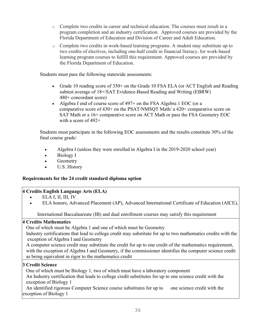- o Complete two credits in career and technical education. The courses must result in a program completion and an industry certification. Approved courses are provided by the Florida Department of Education and Division of Career and Adult Education.
- $\circ$  Complete two credits in work-based learning programs. A student may substitute up to two credits of electives, including one-half credit in financial literacy, for work-based learning program courses to fulfill this requirement. Approved courses are provided by the Florida Department of Education.

Students must pass the following statewide assessments:

- Grade 10 reading score of 350+ on the Grade 10 FSA ELA (or ACT English and Reading subtest average of 18+/SAT Evidence-Based Reading and Writing (EBRW) 480+ concordant score)
- Algebra I end of course score of 497+ on the FSA Algebra 1 EOC (or a comparative score of 430+ on the PSAT/NMSQT Math/ a 420+ comparative score on SAT Math or a 16+ comparative score on ACT Math or pass the FSA Geometry EOC with a score of 492+

 Students must participate in the following EOC assessments and the results constitute 30% of the final course grade:

- Algebra I (unless they were enrolled in Algebra I in the 2019-2020 school year)
- Biology I
- Geometry
- U.S. History

## **Requirements for the 24 credit standard diploma option**

## **4 Credits English Language Arts (ELA)**

- ELA I, II, III, IV
- ELA honors, Advanced Placement (AP), Advanced International Certificate of Education (AICE),

International Baccalaureate (IB) and dual enrollment courses may satisfy this requirement

## **4 Credits Mathematics**

One of which must be Algebra 1 and one of which must be Geometry

 Industry certifications that lead to college credit may substitute for up to two mathematics credits with the exception of Algebra I and Geometry

 A computer science credit may substitute the credit for up to one credit of the mathematics requirement, with the exception of Algebra I and Geometry, if the commissioner identifies the computer science credit as being equivalent in rigor to the mathematics credit

## **3 Credit Science**

 One of which must be Biology 1, two of which must have a laboratory component An Industry certification that leads to college credit substitutes for up to one science credit with the exception of Biology 1

An identified rigorous Computer Science course substitutes for up to one science credit with the exception of Biology 1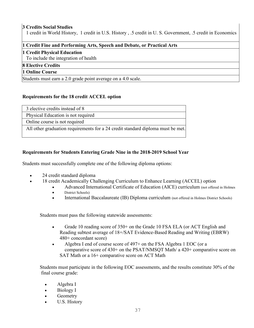## **3 Credits Social Studies**

1 credit in World History, 1 credit in U.S. History , .5 credit in U. S. Government, .5 credit in Economics

#### **1 Credit Fine and Performing Arts, Speech and Debate, or Practical Arts**

#### **1 Credit Physical Education**

To include the integration of health

## **8 Elective Credits**

## **1 Online Course**

Students must earn a 2.0 grade point average on a 4.0 scale.

## **Requirements for the 18 credit ACCEL option**

| 3 elective credits instead of 8                                                 |
|---------------------------------------------------------------------------------|
| Physical Education is not required                                              |
| Online course is not required                                                   |
| All other graduation requirements for a 24 credit standard diploma must be met. |

## **Requirements for Students Entering Grade Nine in the 2018-2019 School Year**

Students must successfully complete one of the following diploma options:

- 24 credit standard diploma
- 18 credit Academically Challenging Curriculum to Enhance Learning (ACCEL) option
	- Advanced International Certificate of Education (AICE) curriculum (not offered in Holmes • District Schools)
	- International Baccalaureate (IB) Diploma curriculum (not offered in Holmes District Schools)

Students must pass the following statewide assessments:

- Grade 10 reading score of 350+ on the Grade 10 FSA ELA (or ACT English and Reading subtest average of 18+/SAT Evidence-Based Reading and Writing (EBRW) 480+ concordant score)
- Algebra I end of course score of 497+ on the FSA Algebra 1 EOC (or a comparative score of 430+ on the PSAT/NMSQT Math/ a 420+ comparative score on SAT Math or a 16+ comparative score on ACT Math

 Students must participate in the following EOC assessments, and the results constitute 30% of the final course grade:

- Algebra I
- Biology I
- **Geometry**
- U.S. History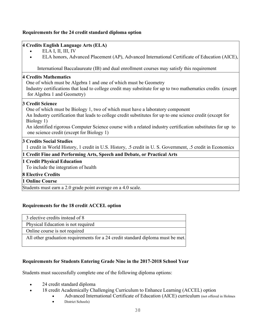## **Requirements for the 24 credit standard diploma option**

## **4 Credits English Language Arts (ELA)**

- ELA I, II, III, IV
- ELA honors, Advanced Placement (AP), Advanced International Certificate of Education (AICE),

International Baccalaureate (IB) and dual enrollment courses may satisfy this requirement

#### **4 Credits Mathematics**

One of which must be Algebra 1 and one of which must be Geometry

 Industry certifications that lead to college credit may substitute for up to two mathematics credits (except for Algebra 1 and Geometry)

#### **3 Credit Science**

One of which must be Biology 1, two of which must have a laboratory component

 An Industry certification that leads to college credit substitutes for up to one science credit (except for Biology 1)

 An identified rigorous Computer Science course with a related industry certification substitutes for up to one science credit (except for Biology 1)

## **3 Credits Social Studies**

1 credit in World History, 1 credit in U.S. History, .5 credit in U. S. Government, .5 credit in Economics

## **1 Credit Fine and Performing Arts, Speech and Debate, or Practical Arts**

#### **1 Credit Physical Education**

To include the integration of health

## **8 Elective Credits**

## **1 Online Course**

Students must earn a 2.0 grade point average on a 4.0 scale.

## **Requirements for the 18 credit ACCEL option**

| 3 elective credits instead of 8                                                 |
|---------------------------------------------------------------------------------|
| Physical Education is not required                                              |
| Online course is not required                                                   |
| All other graduation requirements for a 24 credit standard diploma must be met. |

## **Requirements for Students Entering Grade Nine in the 2017-2018 School Year**

Students must successfully complete one of the following diploma options:

- 24 credit standard diploma
- 18 credit Academically Challenging Curriculum to Enhance Learning (ACCEL) option
	- Advanced International Certificate of Education (AICE) curriculum (not offered in Holmes
	- District Schools)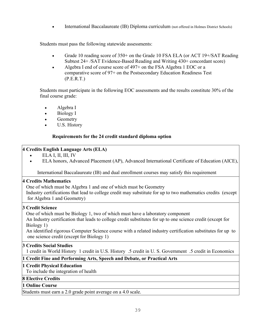• International Baccalaureate (IB) Diploma curriculum (not offered in Holmes District Schools)

Students must pass the following statewide assessments:

- Grade 10 reading score of 350+ on the Grade 10 FSA ELA (or ACT 19+/SAT Reading Subtest 24+ /SAT Evidence-Based Reading and Writing 430+ concordant score)
- Algebra I end of course score of 497+ on the FSA Algebra 1 EOC or a comparative score of 97+ on the Postsecondary Education Readiness Test (P.E.R.T.)

 Students must participate in the following EOC assessments and the results constitute 30% of the final course grade:

- Algebra I
- Biology I
- Geometry
- U.S. History

## **Requirements for the 24 credit standard diploma option**

## **4 Credits English Language Arts (ELA)**

- $\bullet$  ELA I, II, III, IV
	- ELA honors, Advanced Placement (AP), Advanced International Certificate of Education (AICE),

International Baccalaureate (IB) and dual enrollment courses may satisfy this requirement

## **4 Credits Mathematics**

 One of which must be Algebra 1 and one of which must be Geometry Industry certifications that lead to college credit may substitute for up to two mathematics credits (except for Algebra 1 and Geometry)

## **3 Credit Science**

One of which must be Biology 1, two of which must have a laboratory component

 An Industry certification that leads to college credit substitutes for up to one science credit (except for Biology 1)

 An identified rigorous Computer Science course with a related industry certification substitutes for up to one science credit (except for Biology 1)

## **3 Credits Social Studies**

1 credit in World History 1 credit in U.S. History .5 credit in U. S. Government .5 credit in Economics

## **1 Credit Fine and Performing Arts, Speech and Debate, or Practical Arts**

## **1 Credit Physical Education**

To include the integration of health

## **8 Elective Credits**

## **1 Online Course**

Students must earn a 2.0 grade point average on a 4.0 scale.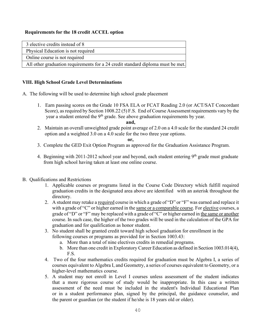## **Requirements for the 18 credit ACCEL option**

| 3 elective credits instead of 8                                                 |
|---------------------------------------------------------------------------------|
| Physical Education is not required                                              |
| Online course is not required                                                   |
| All other graduation requirements for a 24 credit standard diploma must be met. |

## **VIII. High School Grade Level Determinations**

- A. The following will be used to determine high school grade placement
	- 1. Earn passing scores on the Grade 10 FSA ELA or FCAT Reading 2.0 (or ACT/SAT Concordant Score), as required by Section 1008.22 (5) F.S. End of Course Assessment requirements vary by the year a student entered the  $9<sup>th</sup>$  grade. See above graduation requirements by year.

#### **and,**

 2. Maintain an overall unweighted grade point average of 2.0 on a 4.0 scale for the standard 24 credit option and a weighted 3.0 on a 4.0 scale for the two three year options.

#### **or,**

- 3. Complete the GED Exit Option Program as approved for the Graduation Assistance Program.
- 4. Beginning with 2011-2012 school year and beyond, each student entering 9<sup>th</sup> grade must graduate from high school having taken at least one online course.
- B. Qualifications and Restrictions
	- 1. Applicable courses or programs listed in the Course Code Directory which fulfill required graduation credits in the designated area above are identified with an asterisk throughout the directory.
	- 2. A student may retake a required course in which a grade of "D" or "F" was earned and replace it with a grade of "C" or higher earned in the same or a comparable course. For elective courses, a grade of "D" or "F" may be replaced with a grade of "C" or higher earned in the same or another course. In such case, the higher of the two grades will be used in the calculation of the GPA for graduation and for qualification as honor student.
	- 3. No student shall be granted credit toward high school graduation for enrollment in the following courses or programs as provided for in Section 1003.43:
		- a. More than a total of nine electives credits in remedial programs.
		- b. More than one credit in Exploratory Career Education as defined in Section 1003.014(4), F.S.
	- 4. Two of the four mathematics credits required for graduation must be Algebra I, a series of courses equivalent to Algebra I, and Geometry, a series of courses equivalent to Geometry, or a higher-level mathematics course.
	- 5. A student may not enroll in Level I courses unless assessment of the student indicates that a more rigorous course of study would be inappropriate. In this case a written assessment of the need must be included in the student's Individual Educational Plan or in a student performance plan, signed by the principal, the guidance counselor, and the parent or guardian (or the student if he/she is 18 years old or older).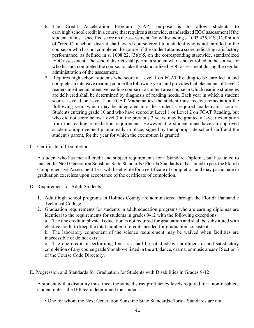- 6. The Credit Acceleration Program (CAP) purpose is to allow students to earn high school credit in a course that requires a statewide, standardized EOC assessment if the student attains a specified score on the assessment. Notwithstanding s. 1003.436, F.S., Definition of "credit", a school district shall award course credit to a student who is not enrolled in the course, or who has not completed the course, if the student attains a score indicating satisfactory performance, as defined in s. 1008.22, (3)(c)5, on the corresponding statewide, standardized EOC assessment. The school district shall permit a student who is not enrolled in the course, or who has not completed the course, to take the standardized EOC assessment during the regular administration of the assessment.
- 7. Requires high school students who score at Level 1 on FCAT Reading to be enrolled in and complete an intensive reading course the following year, and provides that placement of Level 2 readers in either an intensive reading course or a content area course in which reading strategies are delivered shall be determined by diagnosis of reading needs. Each year in which a student scores Level 1 or Level 2 on FCAT Mathematics, the student must receive remediation the following year, which may be integrated into the student's required mathematics course. Students entering grade 10 and who have scored at Level 1 or Level 2 on FCAT Reading, but who did not score below Level 3 in the previous 3 years, may be granted a 1-year exemption from the reading remediation requirement. However, the student must have an approved academic improvement plan already in place, signed by the appropriate school staff and the student's parent, for the year for which the exemption is granted.
- C. Certificate of Completion

A student who has met all credit and subject requirements for a Standard Diploma, but has failed to master the Next Generation Sunshine State Standards / Florida Standards or has failed to pass the Florida Comprehensive Assessment Test will be eligible for a certificate of completion and may participate in graduation exercises upon acceptance of the certificate of completion.

- D. Requirement for Adult Students
	- 1. Adult high school programs in Holmes County are administered through the Florida Panhandle Technical College.
	- 2. Graduation requirements for students in adult education programs who are earning diplomas are identical to the requirements for students in grades 9-12 with the following exceptions:

a. The one credit in physical education is not required for graduation and shall be substituted with elective credit to keep the total number of credits needed for graduation consistent.

b. The laboratory component of the science requirement may be waived when facilities are inaccessible or do not exist.

c. The one credit in performing fine arts shall be satisfied by enrollment in and satisfactory completion of any course grade 9 or above listed in the art, dance, drama, or music areas of Section 3 of the Course Code Directory.

E. Progression and Standards for Graduation for Students with Disabilities in Grades 9-12

A student with a disability must meet the same district proficiency levels required for a non‐disabled student unless the IEP team determined the student is:

• One for whom the Next Generation Sunshine State Standards/Florida Standards are not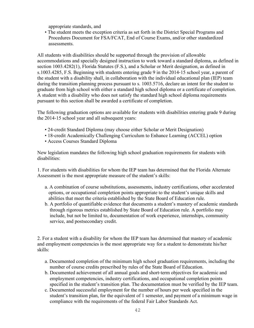appropriate standards, and

• The student meets the exception criteria as set forth in the District Special Programs and Procedures Document for FSA/FCAT, End of Course Exams, and/or other standardized assessments.

All students with disabilities should be supported through the provision of allowable accommodations and specially designed instruction to work toward a standard diploma, as defined in section 1003.4282(1), Florida Statutes (F.S.), and a Scholar or Merit designation, as defined in s.1003.4285, F.S. Beginning with students entering grade 9 in the 2014‐15 school year, a parent of the student with a disability shall, in collaboration with the individual educational plan (IEP) team during the transition planning process pursuant to s. 1003.5716, declare an intent for the student to graduate from high school with either a standard high school diploma or a certificate of completion. A student with a disability who does not satisfy the standard high school diploma requirements pursuant to this section shall be awarded a certificate of completion.

The following graduation options are available for students with disabilities entering grade 9 during the 2014‐15 school year and all subsequent years:

- 24-credit Standard Diploma (may choose either Scholar or Merit Designation)
- 18-credit Academically Challenging Curriculum to Enhance Learning (ACCEL) option
- Access Courses Standard Diploma

New legislation mandates the following high school graduation requirements for students with disabilities:

1. For students with disabilities for whom the IEP team has determined that the Florida Alternate Assessment is the most appropriate measure of the student's skills:

- a. A combination of course substitutions, assessments, industry certifications, other accelerated options, or occupational completion points appropriate to the student's unique skills and abilities that meet the criteria established by the State Board of Education rule.
- b. A portfolio of quantifiable evidence that documents a student's mastery of academic standards through rigorous metrics established by State Board of Education rule. A portfolio may include, but not be limited to, documentation of work experience, internships, community service, and postsecondary credit.

2. For a student with a disability for whom the IEP team has determined that mastery of academic and employment competencies is the most appropriate way for a student to demonstrate his/her skills:

- a. Documented completion of the minimum high school graduation requirements, including the number of course credits prescribed by rules of the State Board of Education.
- b. Documented achievement of all annual goals and short‐term objectives for academic and employment competencies, industry certifications, and occupational completion points specified in the student's transition plan. The documentation must be verified by the IEP team.
- c. Documented successful employment for the number of hours per week specified in the student's transition plan, for the equivalent of 1 semester, and payment of a minimum wage in compliance with the requirements of the federal Fair Labor Standards Act.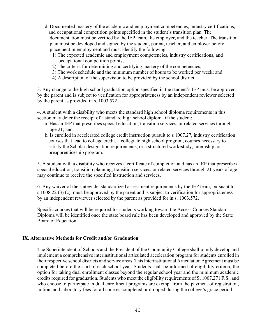- d. Documented mastery of the academic and employment competencies, industry certifications, and occupational competition points specified in the student's transition plan. The documentation must be verified by the IEP team, the employer, and the teacher. The transition plan must be developed and signed by the student, parent, teacher, and employer before placement in employment and must identify the following:
	- 1) The expected academic and employment competencies, industry certifications, and occupational competition points;
	- 2) The criteria for determining and certifying mastery of the competencies;
	- 3) The work schedule and the minimum number of hours to be worked per week; and
	- 4) A description of the supervision to be provided by the school district.

3. Any change to the high school graduation option specified in the student's IEP must be approved by the parent and is subject to verification for appropriateness by an independent reviewer selected by the parent as provided in s. 1003.572.

4. A student with a disability who meets the standard high school diploma requirements in this section may defer the receipt of a standard high school diploma if the student:

- a. Has an IEP that prescribes special education, transition services, or related services through age 21; and
- b. Is enrolled in accelerated college credit instruction pursuit to s 1007.27, industry certification courses that lead to college credit, a collegiate high school program, courses necessary to satisfy the Scholar designation requirements, or a structured work‐study, internship, or preapprenticeship program.

5. A student with a disability who receives a certificate of completion and has an IEP that prescribes special education, transition planning, transition services, or related services through 21 years of age may continue to receive the specified instruction and services.

6. Any waiver of the statewide, standardized assessment requirements by the IEP team, pursuant to s.1008.22 (3) (c), must be approved by the parent and is subject to verification for appropriateness by an independent reviewer selected by the parent as provided for in s. 1003.572.

Specific courses that will be required for students working toward the Access Courses Standard Diploma will be identified once the state board rule has been developed and approved by the State Board of Education.

## **IX. Alternative Methods for Credit and/or Graduation**

The Superintendent of Schools and the President of the Community College shall jointly develop and implement a comprehensive interinstitutional articulated acceleration program for students enrolled in their respective school districts and service areas. This Interinstitutional Articulation Agreement must be completed before the start of each school year. Students shall be informed of eligibility criteria, the option for taking dual enrollment classes beyond the regular school year and the minimum academic credits required for graduation. Students who meet the eligibility requirements of S. 1007.271 F.S., and who choose to participate in dual enrollment programs are exempt from the payment of registration, tuition, and laboratory fees for all courses completed or dropped during the college's grace period.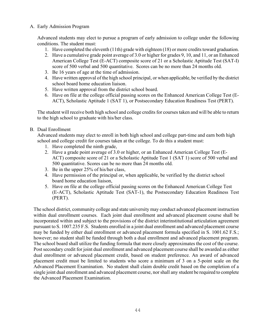#### A. Early Admission Program

Advanced students may elect to pursue a program of early admission to college under the following conditions. The student must:

- 1. Have completed the eleventh (11th) grade with eighteen (18) or more credits toward graduation.
- 2. Have a cumulative grade point average of 3.0 or higher for grades 9, 10, and 11, or an Enhanced American College Test (E-ACT) composite score of 21 or a Scholastic Aptitude Test (SAT-I) score of 500 verbal and 500 quantitative. Scores can be no more than 24 months old.
- 3. Be 16 years of age at the time of admission.
- 4. Have written approval of the high school principal, or when applicable, be verified by the district school board home education liaison.
- 5. Have written approval from the district school board.
- 6. Have on file at the college official passing scores on the Enhanced American College Test (E-ACT), Scholastic Aptitude 1 (SAT 1), or Postsecondary Education Readiness Test (PERT).

The student will receive both high school and college credits for courses taken and will be able to return to the high school to graduate with his/her class.

#### B. Dual Enrollment

Advanced students may elect to enroll in both high school and college part-time and earn both high school and college credit for courses taken at the college. To do this a student must:

- 1. Have completed the ninth grade,
- 2. Have a grade point average of 3.0 or higher, or an Enhanced American College Test (E-ACT) composite score of 21 or a Scholastic Aptitude Test 1 (SAT 1) score of 500 verbal and 500 quantitative. Scores can be no more than 24 months old.
- 3. Be in the upper 25% of his/her class,
- 4. Have permission of the principal or, when applicable, be verified by the district school board home education liaison,
- 5. Have on file at the college official passing scores on the Enhanced American College Test (E-ACT), Scholastic Aptitude Test (SAT-1), the Postsecondary Education Readiness Test (PERT).

The school district, community college and state university may conduct advanced placement instruction within dual enrollment courses. Each joint dual enrollment and advanced placement course shall be incorporated within and subject to the provisions of the district interinstitutional articulation agreement pursuant to S. 1007.235 F.S. Students enrolled in a joint dual enrollment and advanced placement course may be funded by either dual enrollment or advanced placement formula specified in S. 1001.62 F.S.; however; no student shall be funded through both a dual enrollment and advanced placement program. The school board shall utilize the funding formula that more closely approximates the cost of the course. Post secondary credit for joint dual enrollment and advanced placement course shall be awarded as either dual enrollment or advanced placement credit, based on student preference. An award of advanced placement credit must be limited to students who score a minimum of 3 on a 5-point scale on the Advanced Placement Examination. No student shall claim double credit based on the completion of a single joint dual enrollment and advanced placement course, nor shall any student be required to complete the Advanced Placement Examination.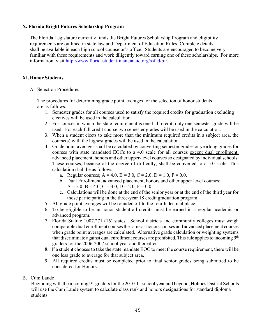## **X. Florida Bright Futures Scholarship Program**

 The Florida Legislature currently funds the Bright Futures Scholarship Program and eligibility requirements are outlined in state law and Department of Education Rules. Complete details shall be available in each high school counselor's office. Students are encouraged to become very familiar with these requirements and work diligently toward earning one of these scholarships. For more information, visit [http://www.floridastudentfinancialaid.org/ssfad/bf/.](http://www.floridastudentfinancialaid.org/ssfad/bf/)

#### **XI. Honor Students**

A. Selection Procedures

 The procedures for determining grade point averages for the selection of honor students are as follows:

- 1. Semester grades for all courses used to satisfy the required credits for graduation excluding electives will be used in the calculation.
- 2. For courses in which the state requirement is one-half credit, only one semester grade will be used. For each full credit course two semester grades will be used in the calculation.
- 3. When a student elects to take more than the minimum required credits in a subject area, the course(s) with the highest grades will be used in the calculation.
- 4. Grade point averages shall be calculated by converting semester grades or yearlong grades for courses with state mandated EOCs to a 4.0 scale for all courses except dual enrollment, advanced placement, honors and other upper-level courses so designated by individual schools. These courses, because of the degree of difficulty, shall be converted to a 5.0 scale. This calculation shall be as follows:
	- a. Regular courses;  $A = 4.0$ ,  $B = 3.0$ ,  $C = 2.0$ ,  $D = 1.0$ ,  $F = 0.0$ .
	- b. Dual Enrollment, advanced placement, honors and other upper level courses;  $A = 5.0, B = 4.0, C = 3.0, D = 2.0, F = 0.0$ .
	- c. Calculations will be done at the end of the senior year or at the end of the third year for those participating in the three-year 18 credit graduation program.
- 5. All grade point averages will be rounded off to the fourth decimal place.
- 6. To be eligible to be an honor student all credits must be earned in a regular academic or advanced program.
- 7. Florida Statute 1007.271 (16) states: School districts and community colleges must weigh comparable dual enrollment courses the same as honors courses and advanced placement courses when grade point averages are calculated. Alternative grade calculation or weighting systems that discriminate against dual enrollment courses are prohibited. This rule applies to incoming  $9<sup>th</sup>$ graders for the 2006-2007 school year and thereafter.
- 8. If a student chooses to take the state mandate EOC to meet the course requirement, there will be one less grade to average for that subject area.
- 9. All required credits must be completed prior to final senior grades being submitted to be considered for Honors.
- B. Cum Laude

Beginning with the incoming 9<sup>th</sup> graders for the 2010-11 school year and beyond, Holmes District Schools will use the Cum Laude system to calculate class rank and honors designations for standard diploma students.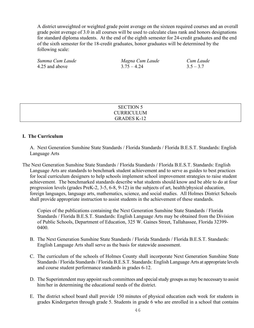A district unweighted or weighted grade point average on the sixteen required courses and an overall grade point average of 3.0 in all courses will be used to calculate class rank and honors designations for standard diploma students. At the end of the eighth semester for 24-credit graduates and the end of the sixth semester for the 18-credit graduates, honor graduates will be determined by the following scale:

| Summa Cum Laude | Magna Cum Laude | Cum Laude   |
|-----------------|-----------------|-------------|
| 4.25 and above  | $3.75 - 4.24$   | $3.5 - 3.7$ |

| <b>SECTION 5</b>   |  |
|--------------------|--|
| <b>CURRICULUM</b>  |  |
| <b>GRADES K-12</b> |  |

#### **I. The Curriculum**

A. Next Generation Sunshine State Standards / Florida Standards / Florida B.E.S.T. Standards: English Language Arts

The Next Generation Sunshine State Standards / Florida Standards / Florida B.E.S.T. Standards: English Language Arts are standards to benchmark student achievement and to serve as guides to best practices for local curriculum designers to help schools implement school improvement strategies to raise student achievement. The benchmarked standards describe what students should know and be able to do at four progression levels (grades PreK-2, 3-5, 6-8, 9-12) in the subjects of art, health/physical education, foreign languages, language arts, mathematics, science, and social studies. All Holmes District Schools shall provide appropriate instruction to assist students in the achievement of these standards.

Copies of the publications containing the Next Generation Sunshine State Standards / Florida Standards / Florida B.E.S.T. Standards: English Language Arts may be obtained from the Division of Public Schools, Department of Education, 325 W. Gaines Street, Tallahassee, Florida 32399- 0400.

- B. The Next Generation Sunshine State Standards / Florida Standards / Florida B.E.S.T. Standards: English Language Arts shall serve as the basis for statewide assessment.
- C. The curriculum of the schools of Holmes County shall incorporate Next Generation Sunshine State Standards / Florida Standards / Florida B.E.S.T. Standards: English Language Arts at appropriate levels and course student performance standards in grades 6-12.
- D. The Superintendent may appoint such committees and special study groups as may be necessary to assist him/her in determining the educational needs of the district.
- E. The district school board shall provide 150 minutes of physical education each week for students in grades Kindergarten through grade 5. Students in grade 6 who are enrolled in a school that contains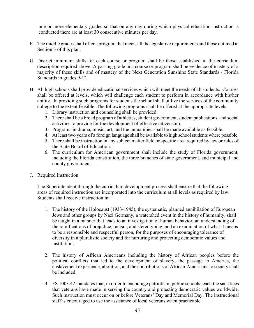one or more elementary grades so that on any day during which physical education instruction is conducted there are at least 30 consecutive minutes per day.

- F. The middle grades shall offer a program that meets all the legislative requirements and those outlined in Section 3 of this plan.
- G. District minimum skills for each course or program shall be those established in the curriculum description required above. A passing grade in a course or program shall be evidence of mastery of a majority of these skills and of mastery of the Next Generation Sunshine State Standards / Florida Standards in grades 9-12.
- H. All high schools shall provide educational services which will meet the needs of all students. Courses shall be offered at levels, which will challenge each student to perform in accordance with his/her ability. In providing such programs for students the school shall utilize the services of the community college to the extent feasible. The following programs shall be offered at the appropriate levels.
	- 1. Library instruction and counseling shall be provided.
	- 2. There shall be a broad program of athletics, student government, student publications, and social activities to provide for the development of effective citizenship.
	- 3. Programs in drama, music, art, and the humanities shall be made available as feasible.
	- 4. At least two years of a foreign language shall be available to high school students where possible.
	- 5. There shall be instruction in any subject matter field or specific area required by law or rules of the State Board of Education.
	- 6. The curriculum for American government shall include the study of Florida government, including the Florida constitution, the three branches of state government, and municipal and county government.
- J. Required Instruction

The Superintendent through the curriculum development process shall ensure that the following areas of required instruction are incorporated into the curriculum at all levels as required by law. Students shall receive instruction in:

- 1. The history of the Holocaust (1933-1945), the systematic, planned annihilation of European Jews and other groups by Nazi Germany, a watershed event in the history of humanity, shall be taught in a manner that leads to an investigation of human behavior, an understanding of the ramifications of prejudice, racism, and stereotyping, and an examination of what it means to be a responsible and respectful person, for the purposes of encouraging tolerance of diversity in a pluralistic society and for nurturing and protecting democratic values and institutions.
- 2. The history of African Americans including the history of African peoples before the political conflicts that led to the development of slavery, the passage to America, the enslavement experience, abolition, and the contributions of African-Americans to society shall be included.
- 3. FS 1003.42 mandates that, in order to encourage patriotism, public schools teach the sacrifices that veterans have made in serving the country and protecting democratic values worldwide. Such instruction must occur on or before Veterans' Day and Memorial Day. The instructional staff is encouraged to use the assistance of local veterans when practicable.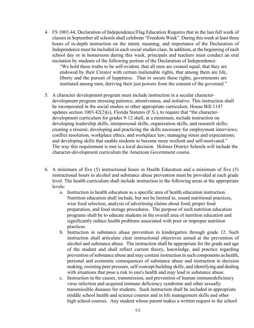4. FS 1003.44, Declaration of Independence/Flag Education Requires that in the last full week of classes in September all schools shall celebrate "Freedom Week". During this week at least three hours of in-depth instruction on the intent, meaning, and importance of the Declaration of Independence must be included in each social studies class. In addition, at the beginning of each school day or in homeroom during this week, principals and teachers must conduct an oral recitation by students of the following portion of the Declaration of Independence:

"We hold these truths to be self-evident, that all men are created equal, that they are endowed by their Creator with certain inalienable rights, that among them are life, liberty and the pursuit of happiness. That to secure these rights, governments are instituted among men, deriving their just powers from the consent of the governed."

- 5. A character development program must include instruction in a secular character development program stressing patience, attentiveness, and initiative. This instruction shall be incorporated in the social studies or other appropriate curriculum. House Bill 1147 updates section 1003.42(2)(s), Florida Statutes (F.S.), to require that "the character development curriculum for grades 9-12 shall, at a minimum, include instruction on developing leadership skills, interpersonal skills, organization skills, and research skills; creating a résumé; developing and practicing the skills necessary for employment interviews; conflict resolution, workplace ethics, and workplace law; managing stress and expectations; and developing skills that enable students to become more resilient and self-motivated." The way this requirement is met is a local decision. Holmes District Schools will include the character-development curriculum the American Government course.
- 6. A minimum of five (5) instructional hours in Health Education and a minimum of five (5) instructional hours in alcohol and substance abuse prevention must be provided at each grade level. The health curriculum shall include instruction in the following areas at the appropriate levels:
	- a. Instruction in health education as a specific area of health education instruction. Nutrition education shall include, but not be limited to, sound nutritional practices, wise food selection, analysis of advertising claims about food, proper food preparation, and food storage procedures. The purpose of such nutrition education programs shall be to educate students in the overall area of nutrition education and significantly reduce health problems associated with poor or improper nutrition practices.
	- b. Instruction in substance abuse prevention in kindergarten through grade 12. Such instruction shall articulate clear instructional objectives aimed at the prevention of alcohol and substance abuse. The instruction shall be appropriate for the grade and age of the student and shall reflect current theory, knowledge, and practice regarding prevention of substance abuse and may contain instruction in such components as health, personal and economic consequences of substance abuse and instruction in decision making, resisting peer pressure, self-concept building skills, and identifying and dealing with situations that pose a risk to one's health and may lead to substance abuse.
	- c. Instruction in the causes, transmission, and prevention of human immunodeficiency virus infection and acquired immune deficiency syndrome and other sexually transmissible diseases for students. Such instruction shall be included in appropriate middle school health and science courses and in life management skills and other high school courses. Any student whose parent makes a written request to the school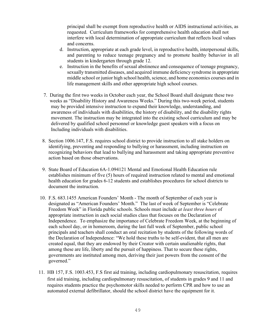principal shall be exempt from reproductive health or AIDS instructional activities, as requested. Curriculum frameworks for comprehensive health education shall not interfere with local determination of appropriate curriculum that reflects local values and concerns.

- d. Instruction, appropriate at each grade level, in reproductive health, interpersonal skills, and parenting to reduce teenage pregnancy and to promote healthy behavior in all students in kindergarten through grade 12.
- e. Instruction in the benefits of sexual abstinence and consequence of teenage pregnancy, sexually transmitted diseases, and acquired immune deficiency syndrome in appropriate middle school or junior high school health, science, and home economics courses and in life management skills and other appropriate high school courses.
- 7.During the first two weeks in October each year, the School Board shall designate these two weeks as "Disability History and Awareness Weeks." During this two-week period, students may be provided intensive instruction to expand their knowledge, understanding, and awareness of individuals with disabilities, the history of disability, and the disability rights movement. The instruction may be integrated into the existing school curriculum and may be delivered by qualified school personnel or knowledge guest speakers with a focus on Including individuals with disabilities.
- 8. Section 1006.147, F.S. requires school district to provide instruction to all stake holders on identifying, preventing and responding to bullying or harassment, including instruction on recognizing behaviors that lead to bullying and harassment and taking appropriate preventive action based on those observations.
- 9. State Board of Education 6A-1.094121 Mental and Emotional Health Education rule establishes minimum of five (5) hours of required instruction related to mental and emotional health education for grades 6-12 students and establishes procedures for school districts to document the instruction.
- 10. F.S. 683.1455 American Founders' Month The month of September of each year is designated as "American Founders' Month." The last of week of September is "Celebrate Freedom Week" in Florida public schools. Schools must include *at least three hours* of appropriate instruction in each social studies class that focuses on the Declaration of Independence. To emphasize the importance of Celebrate Freedom Week, at the beginning of each school day, or in homeroom, during the last full week of September, public school principals and teachers shall conduct an oral recitation by students of the following words of the Declaration of Independence: "We hold these truths to be self-evident, that all men are created equal, that they are endowed by their Creator with certain unalienable rights, that among these are life, liberty and the pursuit of happiness. That to secure these rights, governments are instituted among men, deriving their just powers from the consent of the governed."
- 11. HB 157, F.S. 1003.453, F.S first aid training, including cardiopulmonary resuscitation, requires first aid training, including cardiopulmonary resuscitation, of students in grades 9 and 11 and requires students practice the psychomotor skills needed to perform CPR and how to use an automated external defibrillator, should the school district have the equipment for it.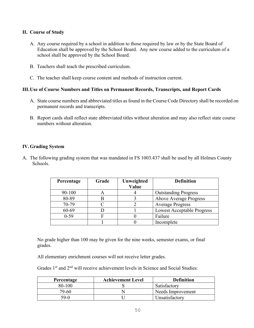## **II. Course of Study**

- A. Any course required by a school in addition to those required by law or by the State Board of Education shall be approved by the School Board. Any new course added to the curriculum of a school shall be approved by the School Board.
- B. Teachers shall teach the prescribed curriculum.
- C. The teacher shall keep course content and methods of instruction current.

#### **III.Use of Course Numbers and Titles on Permanent Records, Transcripts, and Report Cards**

- A. State course numbers and abbreviated titles as found in the Course Code Directory shall be recorded on permanent records and transcripts.
- B. Report cards shall reflect state abbreviated titles without alteration and may also reflect state course numbers without alteration.

#### **IV.Grading System**

A. The following grading system that was mandated in FS 1003.437 shall be used by all Holmes County Schools.

| Percentage | Grade | Unweighted<br>Value | <b>Definition</b>                 |
|------------|-------|---------------------|-----------------------------------|
| 90-100     |       |                     | <b>Outstanding Progress</b>       |
| 80-89      |       |                     | Above Average Progress            |
| 70-79      |       |                     | <b>Average Progress</b>           |
| 60-69      |       |                     | <b>Lowest Acceptable Progress</b> |
| $0 - 59$   |       |                     | Failure                           |
|            |       |                     | Incomplete                        |

No grade higher than 100 may be given for the nine weeks, semester exams, or final grades.

All elementary enrichment courses will not receive letter grades.

Grades 1<sup>st</sup> and 2<sup>nd</sup> will receive achievement levels in Science and Social Studies:

| Percentage | <b>Achievement Level</b> | <b>Definition</b> |
|------------|--------------------------|-------------------|
| 80-100     |                          | Satisfactory      |
| 79-60      |                          | Needs Improvement |
| 59-0       |                          | Unsatisfactory    |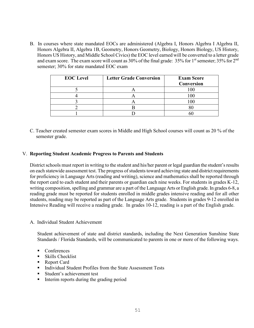B. In courses where state mandated EOCs are administered (Algebra I, Honors Algebra I Algebra II, Honors Algebra II, Algebra 1B, Geometry, Honors Geometry, Biology, Honors Biology, US History, Honors US History, and Middle School Civics) the EOC level earned will be converted to a letter grade and exam score. The exam score will count as 30% of the final grade:  $35\%$  for 1<sup>st</sup> semester;  $35\%$  for  $2<sup>nd</sup>$ semester; 30% for state mandated EOC exam

| <b>EOC</b> Level | <b>Letter Grade Conversion</b> | <b>Exam Score</b><br>Conversion |
|------------------|--------------------------------|---------------------------------|
|                  |                                |                                 |
|                  |                                |                                 |
|                  |                                |                                 |
|                  |                                |                                 |
|                  |                                |                                 |

C. Teacher created semester exam scores in Middle and High School courses will count as 20 % of the semester grade.

#### V. **Reporting Student Academic Progress to Parents and Students**

District schools must report in writing to the student and his/her parent or legal guardian the student's results on each statewide assessment test. The progress of students toward achieving state and district requirements for proficiency in Language Arts (reading and writing), science and mathematics shall be reported through the report card to each student and their parents or guardian each nine weeks. For students in grades K-12, writing composition, spelling and grammar are a part of the Language Arts or English grade. In grades 6-8, a reading grade must be reported for students enrolled in middle grades intensive reading and for all other students, reading may be reported as part of the Language Arts grade. Students in grades 9-12 enrolled in Intensive Reading will receive a reading grade. In grades 10-12, reading is a part of the English grade.

A. Individual Student Achievement

Student achievement of state and district standards, including the Next Generation Sunshine State Standards / Florida Standards, will be communicated to parents in one or more of the following ways.

- Conferences
- Skills Checklist
- Report Card
- Individual Student Profiles from the State Assessment Tests
- **Student's achievement test**
- **I.** Interim reports during the grading period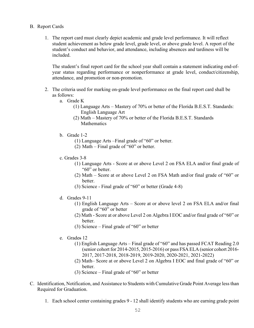- B. Report Cards
	- 1. The report card must clearly depict academic and grade level performance. It will reflect student achievement as below grade level, grade level, or above grade level. A report of the student's conduct and behavior, and attendance, including absences and tardiness will be included.

The student's final report card for the school year shall contain a statement indicating end-ofyear status regarding performance or nonperformance at grade level, conduct/citizenship, attendance, and promotion or non-promotion.

- 2. The criteria used for marking on-grade level performance on the final report card shall be as follows:
	- a. Grade K
		- (1) Language Arts Mastery of 70% or better of the Florida B.E.S.T. Standards: English Language Art
		- (2) Math Mastery of 70% or better of the Florida B.E.S.T. Standards **Mathematics**
	- b. Grade 1-2
		- (1) Language Arts –Final grade of "60" or better.
		- (2) Math Final grade of "60" or better.
	- c. Grades 3-8
		- (1) Language Arts Score at or above Level 2 on FSA ELA and/or final grade of "60" or better.
		- (2) Math Score at or above Level 2 on FSA Math and/or final grade of "60" or better.
		- (3) Science Final grade of "60" or better (Grade 4-8)
	- d. Grades 9-11
		- (1) English Language Arts Score at or above level 2 on FSA ELA and/or final grade of "60" or better
		- (2) Math Score at or above Level 2 on Algebra I EOC and/or final grade of "60" or better.
		- (3) Science Final grade of "60" or better
	- e. Grades 12
		- (1) English Language Arts Final grade of "60" and has passed FCAT Reading 2.0 (senior cohort for 2014-2015, 2015-2016) or pass FSA ELA (senior cohort 2016- 2017, 2017-2018, 2018-2019, 2019-2020, 2020-2021, 2021-2022)
		- (2) Math– Score at or above Level 2 on Algebra I EOC and final grade of "60" or better.
		- (3) Science Final grade of "60" or better
- C. Identification, Notification, and Assistance to Students with Cumulative Grade Point Average less than Required for Graduation.
	- 1. Each school center containing grades 9 12 shall identify students who are earning grade point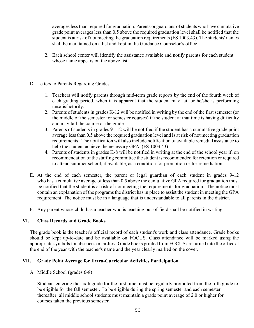averages less than required for graduation. Parents or guardians of students who have cumulative grade point averages less than 0.5 above the required graduation level shall be notified that the student is at risk of not meeting the graduation requirements (FS 1003.43). The students' names shall be maintained on a list and kept in the Guidance Counselor's office

- 2. Each school center will identify the assistance available and notify parents for each student whose name appears on the above list.
- D. Letters to Parents Regarding Grades
	- 1. Teachers will notify parents through mid-term grade reports by the end of the fourth week of each grading period, when it is apparent that the student may fail or he/she is performing unsatisfactorily.
	- 2. Parents of students in grades K-12 will be notified in writing by the end of the first semester (or the middle of the semester for semester courses) if the student at that time is having difficulty and may fail the course or the grade.
	- 3. Parents of students in grades 9 12 will be notified if the student has a cumulative grade point average less than 0.5 above the required graduation level and is at risk of not meeting graduation requirements. The notification will also include notification of available remedial assistance to help the student achieve the necessary GPA. (FS 1003.43)
	- 4. Parents of students in grades K-8 will be notified in writing at the end of the school year if, on recommendation of the staffing committee the student is recommended for retention or required to attend summer school, if available, as a condition for promotion or for remediation.
- E. At the end of each semester, the parent or legal guardian of each student in grades 9-12 who has a cumulative average of less than 0.5 above the cumulative GPA required for graduation must be notified that the student is at risk of not meeting the requirements for graduation. The notice must contain an explanation of the programs the district has in place to assist the student in meeting the GPA requirement. The notice must be in a language that is understandable to all parents in the district.
- F. Any parent whose child has a teacher who is teaching out-of-field shall be notified in writing.

## **VI. Class Records and Grade Books**

The grade book is the teacher's official record of each student's work and class attendance. Grade books should be kept up-to-date and be available on FOCUS. Class attendance will be marked using the appropriate symbols for absences or tardies. Grade books printed from FOCUS are turned into the office at the end of the year with the teacher's name and the year clearly marked on the cover.

## **VII. Grade Point Average for Extra-Curricular Activities Participation**

A. Middle School (grades 6-8)

Students entering the sixth grade for the first time must be regularly promoted from the fifth grade to be eligible for the fall semester. To be eligible during the spring semester and each semester thereafter; all middle school students must maintain a grade point average of 2.0 or higher for courses taken the previous semester.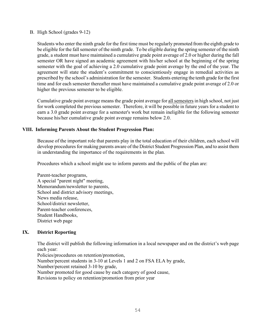B. High School (grades 9-12)

Students who enter the ninth grade for the first time must be regularly promoted from the eighth grade to be eligible for the fall semester of the ninth grade. To be eligible during the spring semester of the ninth grade, a student must have maintained a cumulative grade point average of 2.0 or higher during the fall semester OR have signed an academic agreement with his/her school at the beginning of the spring semester with the goal of achieving a 2.0 cumulative grade point average by the end of the year. The agreement will state the student's commitment to conscientiously engage in remedial activities as prescribed by the school's administration for the semester. Students entering the tenth grade for the first time and for each semester thereafter must have maintained a cumulative grade point average of 2.0 or higher the previous semester to be eligible.

Cumulative grade point average means the grade point average for all semestersin high school, not just for work completed the previous semester. Therefore, it will be possible in future years for a student to earn a 3.0 grade point average for a semester's work but remain ineligible for the following semester because his/her cumulative grade point average remains below 2.0.

#### **VIII. Informing Parents About the Student Progression Plan:**

Because of the important role that parents play in the total education of their children, each school will develop procedures for making parents aware of the District Student Progression Plan, and to assist them in understanding the importance of the requirements in the plan.

Procedures which a school might use to inform parents and the public of the plan are:

 Parent-teacher programs, A special "parent night" meeting, Memorandum/newsletter to parents, School and district advisory meetings, News media release, School/district newsletter, Parent-teacher conferences, Student Handbooks, District web page

#### **IX. District Reporting**

The district will publish the following information in a local newspaper and on the district's web page each year:

 Policies/procedures on retention/promotion, Number/percent students in 3-10 at Levels 1 and 2 on FSA ELA by grade, Number/percent retained 3-10 by grade, Number promoted for good cause by each category of good cause, Revisions to policy on retention/promotion from prior year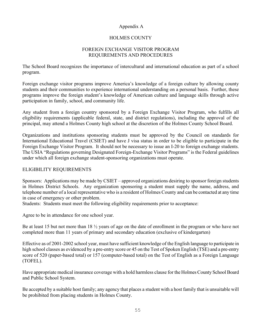#### Appendix A

## HOLMES COUNTY

## FOREIGN EXCHANGE VISITOR PROGRAM REQUIREMENTS AND PROCEDURES

The School Board recognizes the importance of intercultural and international education as part of a school program.

Foreign exchange visitor programs improve America's knowledge of a foreign culture by allowing county students and their communities to experience international understanding on a personal basis. Further, these programs improve the foreign student's knowledge of American culture and language skills through active participation in family, school, and community life.

Any student from a foreign country sponsored by a Foreign Exchange Visitor Program, who fulfills all eligibility requirements (applicable federal, state, and district regulations), including the approval of the principal, may attend a Holmes County high school at the discretion of the Holmes County School Board.

Organizations and institutions sponsoring students must be approved by the Council on standards for International Educational Travel (CSIET) and have J visa status in order to be eligible to participate in the Foreign Exchange Visitor Program. It should not be necessary to issue an I-20 to foreign exchange students. The USIA "Regulations governing Designated Foreign-Exchange Visitor Programs" is the Federal guidelines under which all foreign exchange student-sponsoring organizations must operate.

## ELIGIBILITY REQUIREMENTS

Sponsors: Applications may be made by CSIET – approved organizations desiring to sponsor foreign students in Holmes District Schools. Any organization sponsoring a student must supply the name, address, and telephone number of a local representative who is a resident of Holmes County and can be contacted at any time in case of emergency or other problem.

Students: Students must meet the following eligibility requirements prior to acceptance:

Agree to be in attendance for one school year.

Be at least 15 but not more than 18 ½ years of age on the date of enrollment in the program or who have not completed more than 11 years of primary and secondary education (exclusive of kindergarten)

Effective as of 2001-2002 school year, must have sufficient knowledge of the English language to participate in high school classes as evidenced by a pre-entry score or 45 on the Test of Spoken English (TSE) and a pre-entry score of 520 (paper-based total) or 157 (computer-based total) on the Test of English as a Foreign Language (TOFEL).

Have appropriate medical insurance coverage with a hold harmless clause for the Holmes County School Board and Public School System.

Be accepted by a suitable host family; any agency that places a student with a host family that is unsuitable will be prohibited from placing students in Holmes County.